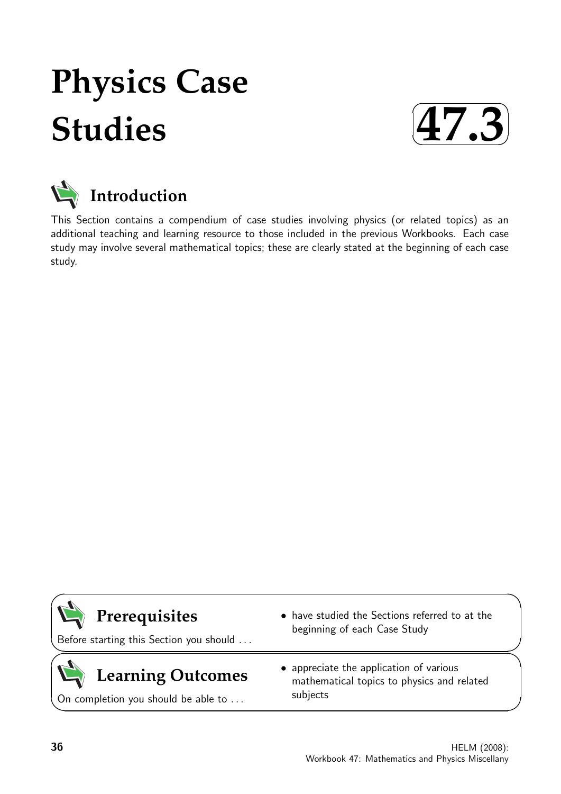# **Physics Case Studies**





This Section contains a compendium of case studies involving physics (or related topics) as an additional teaching and learning resource to those included in the previous Workbooks. Each case study may involve several mathematical topics; these are clearly stated at the beginning of each case study.

# **Prerequisites**

Before starting this Section you should . . .

# **Learning Outcomes**

On completion you should be able to ...

- have studied the Sections referred to at the beginning of each Case Study
- appreciate the application of various mathematical topics to physics and related subjects

 $\overline{\phantom{0}}$ 

 $\searrow$ 

 $\geq$ 

 $\overline{\phantom{0}}$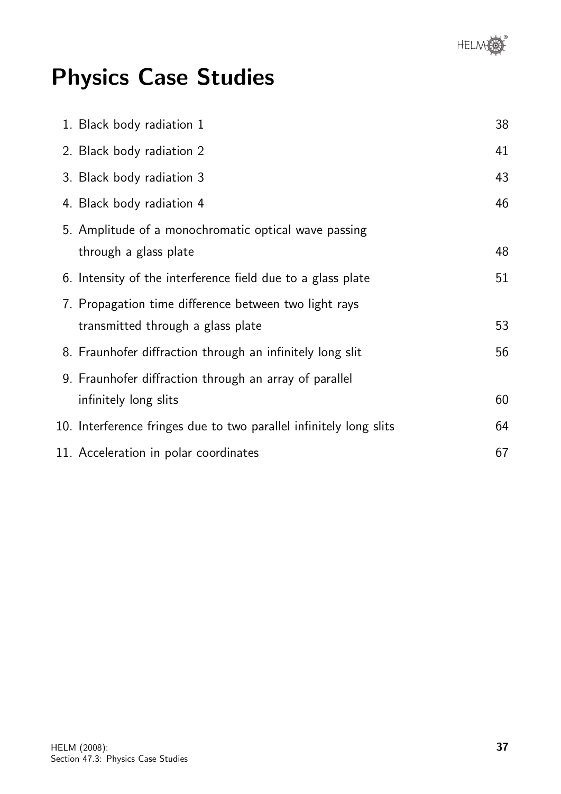

# Physics Case Studies

| 1. Black body radiation 1                                                                  | 38 |
|--------------------------------------------------------------------------------------------|----|
| 2. Black body radiation 2                                                                  | 41 |
| 3. Black body radiation 3                                                                  | 43 |
| 4. Black body radiation 4                                                                  | 46 |
| 5. Amplitude of a monochromatic optical wave passing<br>through a glass plate              | 48 |
| 6. Intensity of the interference field due to a glass plate                                | 51 |
| 7. Propagation time difference between two light rays<br>transmitted through a glass plate | 53 |
| 8. Fraunhofer diffraction through an infinitely long slit                                  | 56 |
| 9. Fraunhofer diffraction through an array of parallel<br>infinitely long slits            | 60 |
| 10. Interference fringes due to two parallel infinitely long slits                         | 64 |
| 11. Acceleration in polar coordinates                                                      | 67 |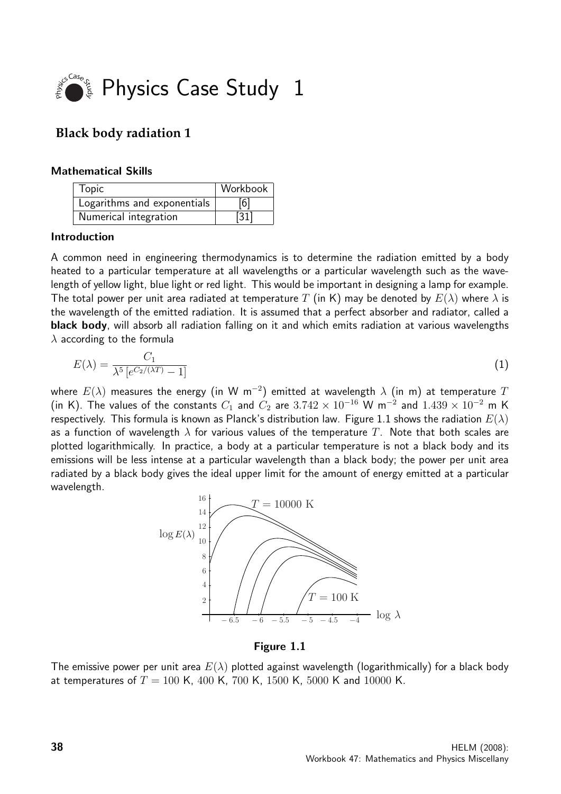

# **Black body radiation 1**

#### Mathematical Skills

| Topic                       | Workbook |
|-----------------------------|----------|
| Logarithms and exponentials | [6]      |
| Numerical integration       | $[31]$   |

#### Introduction

A common need in engineering thermodynamics is to determine the radiation emitted by a body heated to a particular temperature at all wavelengths or a particular wavelength such as the wavelength of yellow light, blue light or red light. This would be important in designing a lamp for example. The total power per unit area radiated at temperature T (in K) may be denoted by  $E(\lambda)$  where  $\lambda$  is the wavelength of the emitted radiation. It is assumed that a perfect absorber and radiator, called a black body, will absorb all radiation falling on it and which emits radiation at various wavelengths  $\lambda$  according to the formula

$$
E(\lambda) = \frac{C_1}{\lambda^5 \left[ e^{C_2/(\lambda T)} - 1 \right]} \tag{1}
$$

where  $E(\lambda)$  measures the energy (in W m $^{-2})$  emitted at wavelength  $\lambda$  (in m) at temperature  $T$ (in K). The values of the constants  $C_1$  and  $C_2$  are  $3.742 \times 10^{-16}$  W m<sup>-2</sup> and  $1.439 \times 10^{-2}$  m K respectively. This formula is known as Planck's distribution law. Figure 1.1 shows the radiation  $E(\lambda)$ as a function of wavelength  $\lambda$  for various values of the temperature T. Note that both scales are plotted logarithmically. In practice, a body at a particular temperature is not a black body and its emissions will be less intense at a particular wavelength than a black body; the power per unit area radiated by a black body gives the ideal upper limit for the amount of energy emitted at a particular wavelength.



Figure 1.1

The emissive power per unit area  $E(\lambda)$  plotted against wavelength (logarithmically) for a black body at temperatures of  $T = 100$  K, 400 K, 700 K, 1500 K, 5000 K and 10000 K.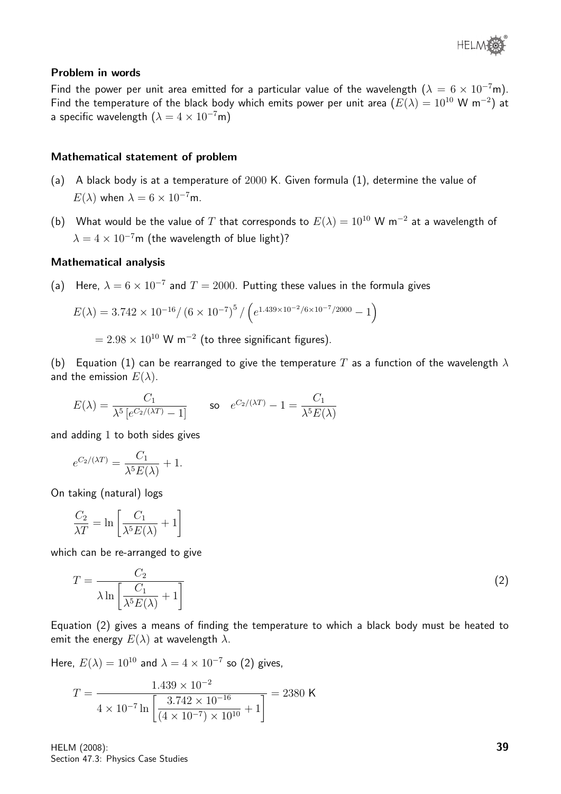#### Problem in words

Find the power per unit area emitted for a particular value of the wavelength  $(\lambda = 6 \times 10^{-7}$ m). Find the temperature of the black body which emits power per unit area  $(E(\lambda) = 10^{10} \text{ W m}^{-2})$  at a specific wavelength  $(\lambda = 4 \times 10^{-7} \text{m})$ 

#### Mathematical statement of problem

- (a) A black body is at a temperature of 2000 K. Given formula (1), determine the value of  $E(\lambda)$  when  $\lambda = 6 \times 10^{-7}$ m.
- (b) What would be the value of T that corresponds to  $E(\lambda) = 10^{10}$  W m<sup>-2</sup> at a wavelength of  $\lambda = 4 \times 10^{-7}$ m (the wavelength of blue light)?

#### Mathematical analysis

(a) Here,  $\lambda = 6 \times 10^{-7}$  and  $T = 2000$ . Putting these values in the formula gives

$$
E(\lambda) = 3.742 \times 10^{-16} / \left(6 \times 10^{-7}\right)^5 / \left(e^{1.439 \times 10^{-2} / 6 \times 10^{-7} / 2000} - 1\right)
$$

 $= 2.98 \times 10^{10}$  W m $^{-2}$  (to three significant figures).

(b) Equation (1) can be rearranged to give the temperature T as a function of the wavelength  $\lambda$ and the emission  $E(\lambda)$ .

$$
E(\lambda) = \frac{C_1}{\lambda^5 \left[ e^{C_2/(\lambda T)} - 1 \right]} \qquad \text{so} \quad e^{C_2/(\lambda T)} - 1 = \frac{C_1}{\lambda^5 E(\lambda)}
$$

and adding 1 to both sides gives

$$
e^{C_2/(\lambda T)} = \frac{C_1}{\lambda^5 E(\lambda)} + 1.
$$

On taking (natural) logs

$$
\frac{C_2}{\lambda T} = \ln \left[ \frac{C_1}{\lambda^5 E(\lambda)} + 1 \right]
$$

which can be re-arranged to give

$$
T = \frac{C_2}{\lambda \ln \left[ \frac{C_1}{\lambda^5 E(\lambda)} + 1 \right]}
$$
 (2)

Equation (2) gives a means of finding the temperature to which a black body must be heated to emit the energy  $E(\lambda)$  at wavelength  $\lambda$ .

Here,  $E(\lambda) = 10^{10}$  and  $\lambda = 4 \times 10^{-7}$  so (2) gives,

$$
T = \frac{1.439 \times 10^{-2}}{4 \times 10^{-7} \ln \left[\frac{3.742 \times 10^{-16}}{(4 \times 10^{-7}) \times 10^{10}} + 1\right]} = 2380 \text{ K}
$$

HELM (2008): Section 47.3: Physics Case Studies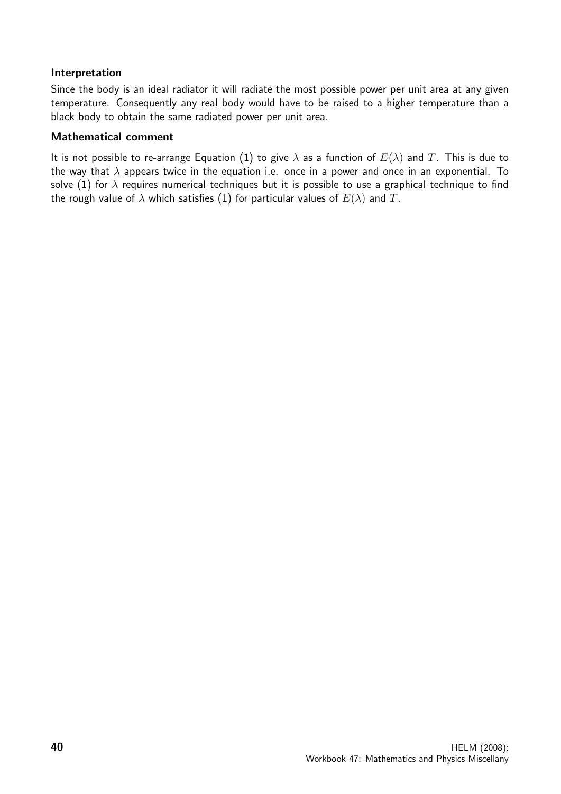#### Interpretation

Since the body is an ideal radiator it will radiate the most possible power per unit area at any given temperature. Consequently any real body would have to be raised to a higher temperature than a black body to obtain the same radiated power per unit area.

#### Mathematical comment

It is not possible to re-arrange Equation (1) to give  $\lambda$  as a function of  $E(\lambda)$  and T. This is due to the way that  $\lambda$  appears twice in the equation i.e. once in a power and once in an exponential. To solve (1) for  $\lambda$  requires numerical techniques but it is possible to use a graphical technique to find the rough value of  $\lambda$  which satisfies (1) for particular values of  $E(\lambda)$  and T.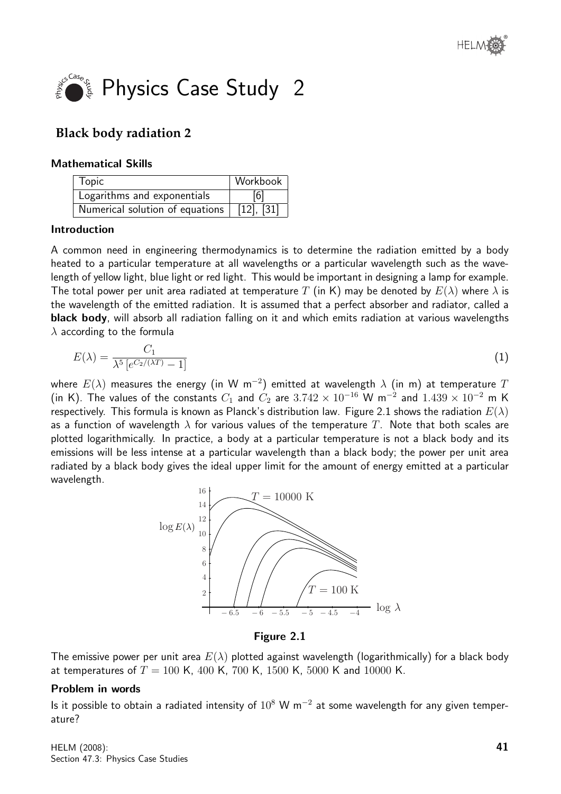

# **Black body radiation 2**

#### Mathematical Skills

| Topic                           | Workbook        |
|---------------------------------|-----------------|
| Logarithms and exponentials     | [6]             |
| Numerical solution of equations | $[12]$ , $[31]$ |

#### Introduction

A common need in engineering thermodynamics is to determine the radiation emitted by a body heated to a particular temperature at all wavelengths or a particular wavelength such as the wavelength of yellow light, blue light or red light. This would be important in designing a lamp for example. The total power per unit area radiated at temperature T (in K) may be denoted by  $E(\lambda)$  where  $\lambda$  is the wavelength of the emitted radiation. It is assumed that a perfect absorber and radiator, called a black body, will absorb all radiation falling on it and which emits radiation at various wavelengths  $\lambda$  according to the formula

$$
E(\lambda) = \frac{C_1}{\lambda^5 \left[ e^{C_2/(\lambda T)} - 1 \right]} \tag{1}
$$

where  $E(\lambda)$  measures the energy (in W m $^{-2})$  emitted at wavelength  $\lambda$  (in m) at temperature  $T$ (in K). The values of the constants  $C_1$  and  $C_2$  are  $3.742 \times 10^{-16}$  W m<sup>-2</sup> and  $1.439 \times 10^{-2}$  m K respectively. This formula is known as Planck's distribution law. Figure 2.1 shows the radiation  $E(\lambda)$ as a function of wavelength  $\lambda$  for various values of the temperature T. Note that both scales are plotted logarithmically. In practice, a body at a particular temperature is not a black body and its emissions will be less intense at a particular wavelength than a black body; the power per unit area radiated by a black body gives the ideal upper limit for the amount of energy emitted at a particular wavelength.



Figure 2.1

The emissive power per unit area  $E(\lambda)$  plotted against wavelength (logarithmically) for a black body at temperatures of  $T = 100$  K, 400 K, 700 K, 1500 K, 5000 K and 10000 K.

#### Problem in words

Is it possible to obtain a radiated intensity of  $10^8$  W m<sup>-2</sup> at some wavelength for any given temperature?

HELM (2008): Section 47.3: Physics Case Studies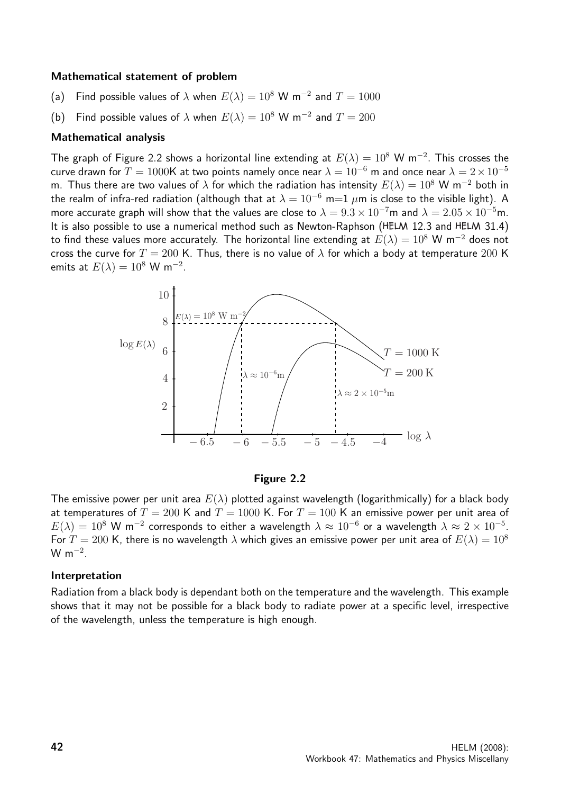#### Mathematical statement of problem

- (a) Find possible values of  $\lambda$  when  $E(\lambda) = 10^8$  W m<sup>-2</sup> and  $T = 1000$
- (b) Find possible values of  $\lambda$  when  $E(\lambda) = 10^8$  W m<sup>-2</sup> and  $T = 200$

#### Mathematical analysis

The graph of Figure 2.2 shows a horizontal line extending at  $E(\lambda) = 10^8$  W m<sup>-2</sup>. This crosses the curve drawn for  $T = 1000$ K at two points namely once near  $\lambda = 10^{-6}$  m and once near  $\lambda = 2 \times 10^{-5}$ m. Thus there are two values of  $\lambda$  for which the radiation has intensity  $E(\lambda) = 10^8$  W m<sup>-2</sup> both in the realm of infra-red radiation (although that at  $\lambda = 10^{-6}$  m=1  $\mu$ m is close to the visible light). A more accurate graph will show that the values are close to  $\lambda = 9.3 \times 10^{-7}$ m and  $\lambda = 2.05 \times 10^{-5}$ m. It is also possible to use a numerical method such as Newton-Raphson ( $HELM$  12.3 and  $HELM$  31.4) to find these values more accurately. The horizontal line extending at  $E(\lambda) = 10^8$  W m<sup>-2</sup> does not cross the curve for  $T = 200$  K. Thus, there is no value of  $\lambda$  for which a body at temperature 200 K emits at  $E(\lambda) = 10^8 \text{ W m}^{-2}$ .





The emissive power per unit area  $E(\lambda)$  plotted against wavelength (logarithmically) for a black body at temperatures of  $T = 200$  K and  $T = 1000$  K. For  $T = 100$  K an emissive power per unit area of  $E(\lambda) = 10^8$  W m<sup>-2</sup> corresponds to either a wavelength  $\lambda \approx 10^{-6}$  or a wavelength  $\lambda \approx 2 \times 10^{-5}$ . For  $T = 200$  K, there is no wavelength  $\lambda$  which gives an emissive power per unit area of  $E(\lambda) = 10^8$ W m<sup> $-2$ </sup>.

#### Interpretation

Radiation from a black body is dependant both on the temperature and the wavelength. This example shows that it may not be possible for a black body to radiate power at a specific level, irrespective of the wavelength, unless the temperature is high enough.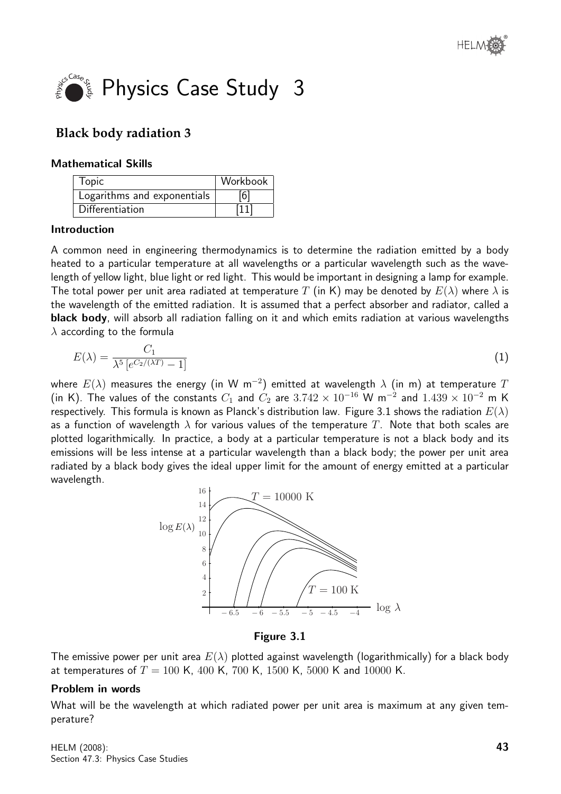

# **Black body radiation 3**

#### Mathematical Skills

| Topic                       | Workbook |
|-----------------------------|----------|
| Logarithms and exponentials | [6]      |
| <b>Differentiation</b>      | [11]     |

#### Introduction

A common need in engineering thermodynamics is to determine the radiation emitted by a body heated to a particular temperature at all wavelengths or a particular wavelength such as the wavelength of yellow light, blue light or red light. This would be important in designing a lamp for example. The total power per unit area radiated at temperature T (in K) may be denoted by  $E(\lambda)$  where  $\lambda$  is the wavelength of the emitted radiation. It is assumed that a perfect absorber and radiator, called a black body, will absorb all radiation falling on it and which emits radiation at various wavelengths  $\lambda$  according to the formula

$$
E(\lambda) = \frac{C_1}{\lambda^5 \left[ e^{C_2/(\lambda T)} - 1 \right]} \tag{1}
$$

where  $E(\lambda)$  measures the energy (in W m $^{-2})$  emitted at wavelength  $\lambda$  (in m) at temperature  $T$ (in K). The values of the constants  $C_1$  and  $C_2$  are  $3.742 \times 10^{-16}$  W m<sup>-2</sup> and  $1.439 \times 10^{-2}$  m K respectively. This formula is known as Planck's distribution law. Figure 3.1 shows the radiation  $E(\lambda)$ as a function of wavelength  $\lambda$  for various values of the temperature T. Note that both scales are plotted logarithmically. In practice, a body at a particular temperature is not a black body and its emissions will be less intense at a particular wavelength than a black body; the power per unit area radiated by a black body gives the ideal upper limit for the amount of energy emitted at a particular wavelength.



Figure 3.1

The emissive power per unit area  $E(\lambda)$  plotted against wavelength (logarithmically) for a black body at temperatures of  $T = 100$  K, 400 K, 700 K, 1500 K, 5000 K and 10000 K.

#### Problem in words

What will be the wavelength at which radiated power per unit area is maximum at any given temperature?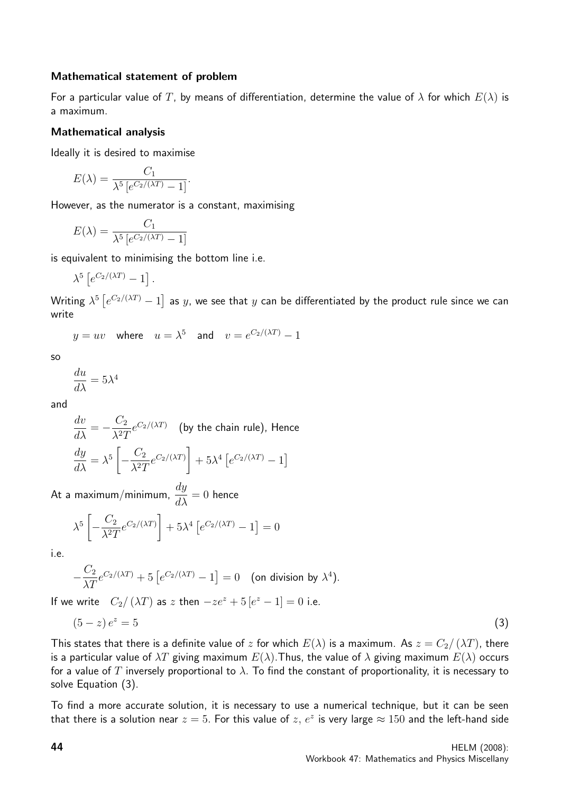#### Mathematical statement of problem

For a particular value of T, by means of differentiation, determine the value of  $\lambda$  for which  $E(\lambda)$  is a maximum.

#### Mathematical analysis

Ideally it is desired to maximise

$$
E(\lambda) = \frac{C_1}{\lambda^5 \left[ e^{C_2/(\lambda T)} - 1 \right]}.
$$

However, as the numerator is a constant, maximising

$$
E(\lambda) = \frac{C_1}{\lambda^5 \left[e^{C_2/(\lambda T)} - 1\right]}
$$

is equivalent to minimising the bottom line i.e.

$$
\lambda^5 \left[ e^{C_2/(\lambda T)} - 1 \right].
$$

Writing  $\lambda^5\left[e^{C_2/(\lambda T)}-1\right]$  as  $y$ , we see that  $y$  can be differentiated by the product rule since we can write

$$
y = uv
$$
 where  $u = \lambda^5$  and  $v = e^{C_2/(\lambda T)} - 1$ 

$$
\mathsf{so}
$$

$$
\frac{du}{d\lambda} = 5\lambda^4
$$

and

$$
\frac{dv}{d\lambda} = -\frac{C_2}{\lambda^2 T} e^{C_2/(\lambda T)}
$$
 (by the chain rule), Hence  

$$
\frac{dy}{d\lambda} = \lambda^5 \left[ -\frac{C_2}{\lambda^2 T} e^{C_2/(\lambda T)} \right] + 5\lambda^4 \left[ e^{C_2/(\lambda T)} - 1 \right]
$$

At a maximum/minimum,  $\frac{dy}{dx}$  $\frac{dy}{d\lambda} = 0$  hence

$$
\lambda^5 \left[ -\frac{C_2}{\lambda^2 T} e^{C_2/(\lambda T)} \right] + 5\lambda^4 \left[ e^{C_2/(\lambda T)} - 1 \right] = 0
$$

i.e.

$$
-\frac{C_2}{\lambda T}e^{C_2/(\lambda T)} + 5\left[e^{C_2/(\lambda T)} - 1\right] = 0 \quad \text{(on division by } \lambda^4\text{)}.
$$

If we write  $C_2/(\lambda T)$  as z then  $-ze^z + 5[e^z - 1] = 0$  i.e.

$$
(5-z)e^z = 5 \tag{3}
$$

This states that there is a definite value of z for which  $E(\lambda)$  is a maximum. As  $z = C_2/(\lambda T)$ , there is a particular value of  $\lambda T$  giving maximum  $E(\lambda)$ . Thus, the value of  $\lambda$  giving maximum  $E(\lambda)$  occurs for a value of T inversely proportional to  $\lambda$ . To find the constant of proportionality, it is necessary to solve Equation (3).

To find a more accurate solution, it is necessary to use a numerical technique, but it can be seen that there is a solution near  $z=5.$  For this value of  $z,\,e^z$  is very large  $\approx 150$  and the left-hand side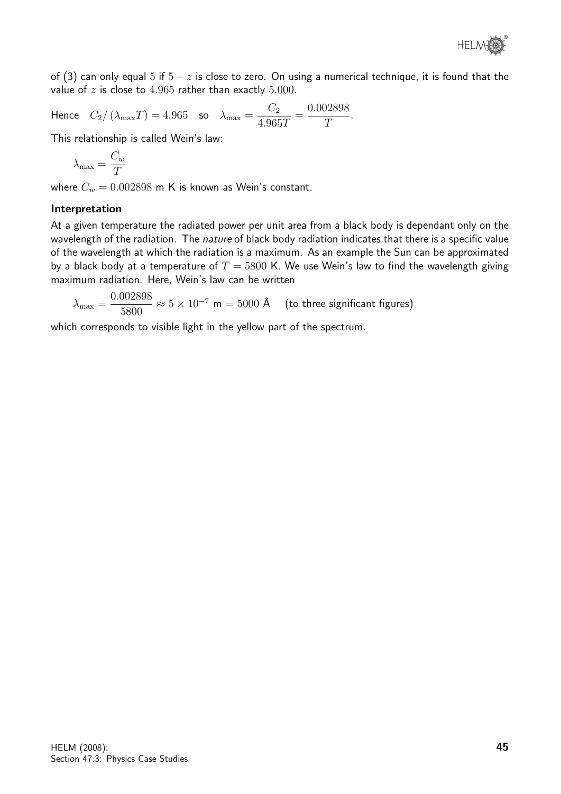

of (3) can only equal 5 if  $5 - z$  is close to zero. On using a numerical technique, it is found that the value of  $z$  is close to 4.965 rather than exactly 5.000.

Hence  $C_2/\left(\lambda_{\text{max}}T\right) = 4.965$  so  $\lambda_{\text{max}} =$  $C_2$ 4.965T = 0.002898 T .

This relationship is called Wein's law:

$$
\lambda_{\max} = \frac{C_w}{T}
$$

where  $C_w = 0.002898$  m K is known as Wein's constant.

#### Interpretation

At a given temperature the radiated power per unit area from a black body is dependant only on the wavelength of the radiation. The nature of black body radiation indicates that there is a specific value of the wavelength at which the radiation is a maximum. As an example the Sun can be approximated by a black body at a temperature of  $T = 5800$  K. We use Wein's law to find the wavelength giving maximum radiation. Here, Wein's law can be written

$$
\lambda_{\text{max}} = \frac{0.002898}{5800} \approx 5 \times 10^{-7} \text{ m} = 5000 \text{ \AA}
$$
 (to three significant figures)

which corresponds to visible light in the yellow part of the spectrum.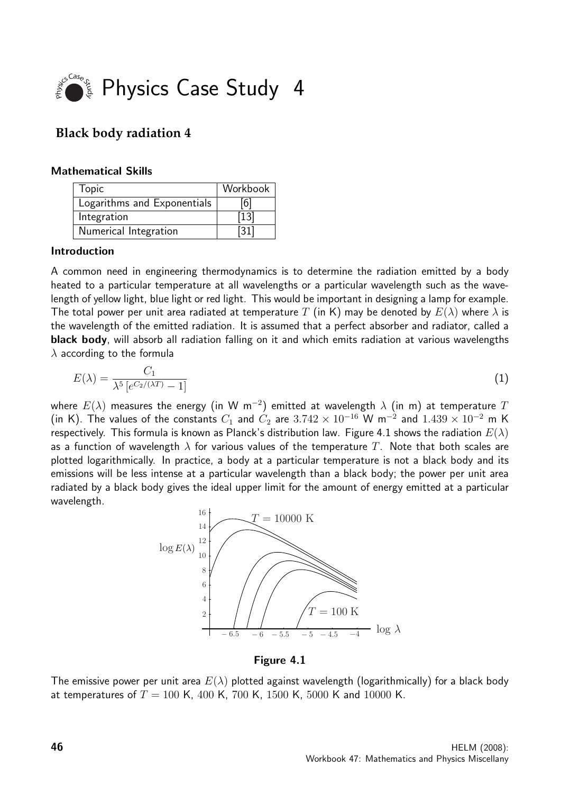

## **Black body radiation 4**

#### Mathematical Skills

| Topic                       | Workbook          |
|-----------------------------|-------------------|
| Logarithms and Exponentials | [6]               |
| Integration                 | $[13]$            |
| Numerical Integration       | $\left[31\right]$ |

#### Introduction

A common need in engineering thermodynamics is to determine the radiation emitted by a body heated to a particular temperature at all wavelengths or a particular wavelength such as the wavelength of yellow light, blue light or red light. This would be important in designing a lamp for example. The total power per unit area radiated at temperature T (in K) may be denoted by  $E(\lambda)$  where  $\lambda$  is the wavelength of the emitted radiation. It is assumed that a perfect absorber and radiator, called a black body, will absorb all radiation falling on it and which emits radiation at various wavelengths  $\lambda$  according to the formula

$$
E(\lambda) = \frac{C_1}{\lambda^5 \left[ e^{C_2/(\lambda T)} - 1 \right]} \tag{1}
$$

where  $E(\lambda)$  measures the energy (in W m $^{-2})$  emitted at wavelength  $\lambda$  (in m) at temperature  $T$ (in K). The values of the constants  $C_1$  and  $C_2$  are  $3.742 \times 10^{-16}$  W m<sup>-2</sup> and  $1.439 \times 10^{-2}$  m K respectively. This formula is known as Planck's distribution law. Figure 4.1 shows the radiation  $E(\lambda)$ as a function of wavelength  $\lambda$  for various values of the temperature T. Note that both scales are plotted logarithmically. In practice, a body at a particular temperature is not a black body and its emissions will be less intense at a particular wavelength than a black body; the power per unit area radiated by a black body gives the ideal upper limit for the amount of energy emitted at a particular wavelength.



Figure 4.1

The emissive power per unit area  $E(\lambda)$  plotted against wavelength (logarithmically) for a black body at temperatures of  $T = 100$  K, 400 K, 700 K, 1500 K, 5000 K and 10000 K.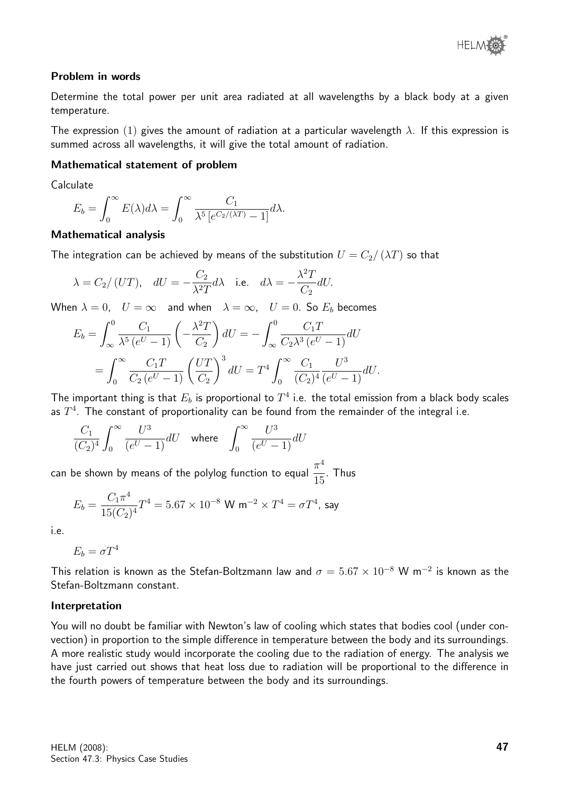

#### Problem in words

Determine the total power per unit area radiated at all wavelengths by a black body at a given temperature.

The expression (1) gives the amount of radiation at a particular wavelength  $\lambda$ . If this expression is summed across all wavelengths, it will give the total amount of radiation.

#### Mathematical statement of problem

Calculate

$$
E_b = \int_0^\infty E(\lambda) d\lambda = \int_0^\infty \frac{C_1}{\lambda^5 \left[ e^{C_2/(\lambda T)} - 1 \right]} d\lambda.
$$

#### Mathematical analysis

The integration can be achieved by means of the substitution  $U = C_2/(\lambda T)$  so that

$$
\lambda = C_2 / (UT)
$$
,  $dU = -\frac{C_2}{\lambda^2 T} d\lambda$  i.e.  $d\lambda = -\frac{\lambda^2 T}{C_2} dU$ .

When  $\lambda = 0$ ,  $U = \infty$  and when  $\lambda = \infty$ ,  $U = 0$ . So  $E_b$  becomes

$$
E_b = \int_{\infty}^{0} \frac{C_1}{\lambda^5 (e^U - 1)} \left( -\frac{\lambda^2 T}{C_2} \right) dU = -\int_{\infty}^{0} \frac{C_1 T}{C_2 \lambda^3 (e^U - 1)} dU
$$
  
= 
$$
\int_{0}^{\infty} \frac{C_1 T}{C_2 (e^U - 1)} \left( \frac{U T}{C_2} \right)^3 dU = T^4 \int_{0}^{\infty} \frac{C_1}{(C_2)^4} \frac{U^3}{(e^U - 1)} dU.
$$

The important thing is that  $E_b$  is proportional to  $T^4$  i.e. the total emission from a black body scales as  $T^4$ . The constant of proportionality can be found from the remainder of the integral i.e.

$$
\frac{C_1}{(C_2)^4} \int_0^\infty \frac{U^3}{(e^U - 1)} dU \quad \text{where} \quad \int_0^\infty \frac{U^3}{(e^U - 1)} dU
$$

can be shown by means of the polylog function to equal  $\frac{\pi^4}{4\pi^2}$ 15 . Thus

$$
E_b = \frac{C_1 \pi^4}{15(C_2)^4} T^4 = 5.67 \times 10^{-8} \text{ W m}^{-2} \times T^4 = \sigma T^4 \text{, say}
$$

i.e.

$$
E_b = \sigma T^4
$$

This relation is known as the Stefan-Boltzmann law and  $\sigma = 5.67 \times 10^{-8}$  W m $^{-2}$  is known as the Stefan-Boltzmann constant.

#### Interpretation

You will no doubt be familiar with Newton's law of cooling which states that bodies cool (under convection) in proportion to the simple difference in temperature between the body and its surroundings. A more realistic study would incorporate the cooling due to the radiation of energy. The analysis we have just carried out shows that heat loss due to radiation will be proportional to the difference in the fourth powers of temperature between the body and its surroundings.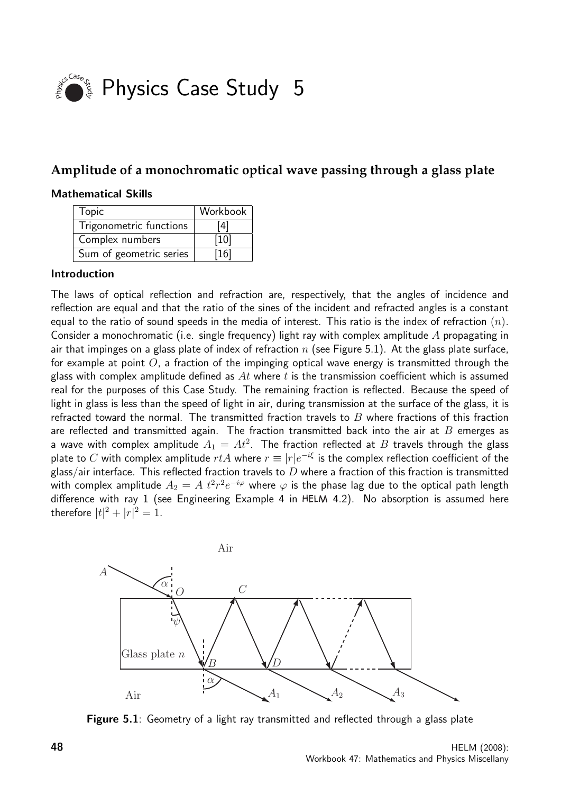

## **Amplitude of a monochromatic optical wave passing through a glass plate**

#### Mathematical Skills

| Topic                   | Workbook |
|-------------------------|----------|
| Trigonometric functions | [4]      |
| Complex numbers         | [10]     |
| Sum of geometric series | 16       |

#### Introduction

The laws of optical reflection and refraction are, respectively, that the angles of incidence and reflection are equal and that the ratio of the sines of the incident and refracted angles is a constant equal to the ratio of sound speeds in the media of interest. This ratio is the index of refraction  $(n)$ . Consider a monochromatic (i.e. single frequency) light ray with complex amplitude A propagating in air that impinges on a glass plate of index of refraction  $n$  (see Figure 5.1). At the glass plate surface, for example at point  $O$ , a fraction of the impinging optical wave energy is transmitted through the glass with complex amplitude defined as  $At$  where  $t$  is the transmission coefficient which is assumed real for the purposes of this Case Study. The remaining fraction is reflected. Because the speed of light in glass is less than the speed of light in air, during transmission at the surface of the glass, it is refracted toward the normal. The transmitted fraction travels to  $B$  where fractions of this fraction are reflected and transmitted again. The fraction transmitted back into the air at  $B$  emerges as a wave with complex amplitude  $A_1 = A t^2$ . The fraction reflected at  $B$  travels through the glass plate to  $C$  with complex amplitude  $rtA$  where  $r\equiv |r|e^{-i\xi}$  is the complex reflection coefficient of the glass/air interface. This reflected fraction travels to  $D$  where a fraction of this fraction is transmitted with complex amplitude  $A_2=A\;t^2r^2e^{-i\varphi}$  where  $\varphi$  is the phase lag due to the optical path length difference with ray 1 (see Engineering Example 4 in HELM 4.2). No absorption is assumed here therefore  $|t|^2 + |r|^2 = 1$ .



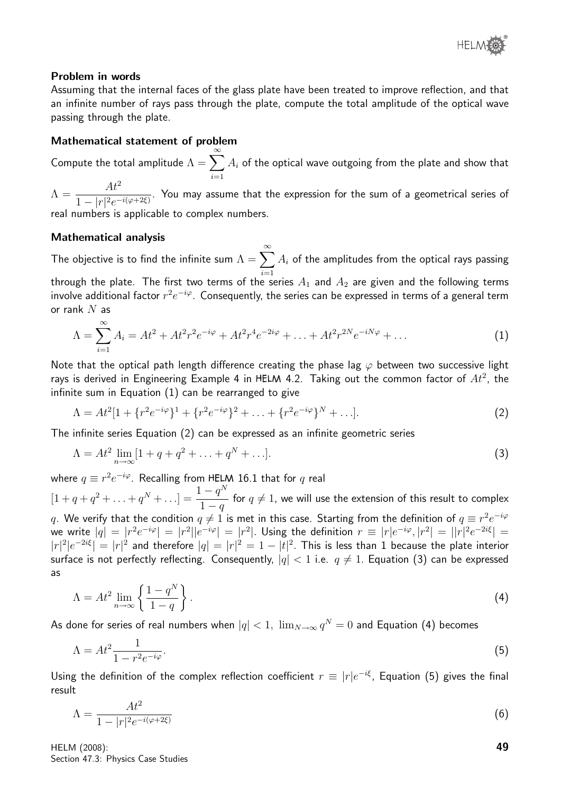

#### Problem in words

Assuming that the internal faces of the glass plate have been treated to improve reflection, and that an infinite number of rays pass through the plate, compute the total amplitude of the optical wave passing through the plate.

#### Mathematical statement of problem

Compute the total amplitude  $\Lambda = \sum_{n=0}^{\infty}$  $i=1$  $A_i$  of the optical wave outgoing from the plate and show that

 $\Lambda = \frac{At^2}{1 + 12}$  $\frac{1}{1 - |r|^2 e^{-i(\varphi + 2\xi)}}$ . You may assume that the expression for the sum of a geometrical series of real numbers is applicable to complex numbers.

#### Mathematical analysis

The objective is to find the infinite sum  $\Lambda = \sum^{\infty} A_i$  of the amplitudes from the optical rays passing through the plate. The first two terms of the series  $A_1$  and  $A_2$  are given and the following terms involve additional factor  $r^2e^{-i\varphi}$ . Consequently, the series can be expressed in terms of a general term or rank  $N$  as

$$
\Lambda = \sum_{i=1}^{\infty} A_i = At^2 + At^2 r^2 e^{-i\varphi} + At^2 r^4 e^{-2i\varphi} + \ldots + At^2 r^{2N} e^{-iN\varphi} + \ldots
$$
 (1)

Note that the optical path length difference creating the phase lag  $\varphi$  between two successive light rays is derived in Engineering Example 4 in HELM 4.2. Taking out the common factor of  $At^2$ , the infinite sum in Equation (1) can be rearranged to give

$$
\Lambda = At^2[1 + \{r^2 e^{-i\varphi}\}^1 + \{r^2 e^{-i\varphi}\}^2 + \ldots + \{r^2 e^{-i\varphi}\}^N + \ldots].
$$
\n(2)

The infinite series Equation (2) can be expressed as an infinite geometric series

$$
\Lambda = At^2 \lim_{n \to \infty} [1 + q + q^2 + \dots + q^N + \dots].
$$
 (3)

where  $q \equiv r^2 e^{-i \varphi}$ . Recalling from HELM 16.1 that for  $q$  real

 $[1 + q + q^2 + \ldots + q^N + \ldots] = \frac{1 - q^N}{1 - q^N}$  $1 - q$ for  $q\neq 1$ , we will use the extension of this result to complex  $q.$  We verify that the condition  $q\neq 1$  is met in this case. Starting from the definition of  $q\equiv r^2e^{-i\varphi}$ we write  $|q| = |r^2 e^{-i\varphi}| = |r^2||e^{-i\varphi}| = |r^2|$ . Using the definition  $r \equiv |r|e^{-i\varphi}, |r^2| = ||r|^2 e^{-2i\xi}| =$  $|r|^2|e^{-2i\xi}| = |r|^2$  and therefore  $|q| = |r|^2 = 1 - |t|^2$ . This is less than 1 because the plate interior surface is not perfectly reflecting. Consequently,  $|q| < 1$  i.e.  $q \neq 1$ . Equation (3) can be expressed as

$$
\Lambda = At^2 \lim_{n \to \infty} \left\{ \frac{1 - q^N}{1 - q} \right\}.
$$
\n(4)

As done for series of real numbers when  $|q| < 1, \; \lim_{N \to \infty} q^N = 0$  and Equation (4) becomes

$$
\Lambda = At^2 \frac{1}{1 - r^2 e^{-i\varphi}}.\tag{5}
$$

Using the definition of the complex reflection coefficient  $r \equiv |r|e^{-i\xi}$ , Equation (5) gives the final result

$$
\Lambda = \frac{At^2}{1 - |r|^2 e^{-i(\varphi + 2\xi)}}\tag{6}
$$

HELM (2008): Section 47.3: Physics Case Studies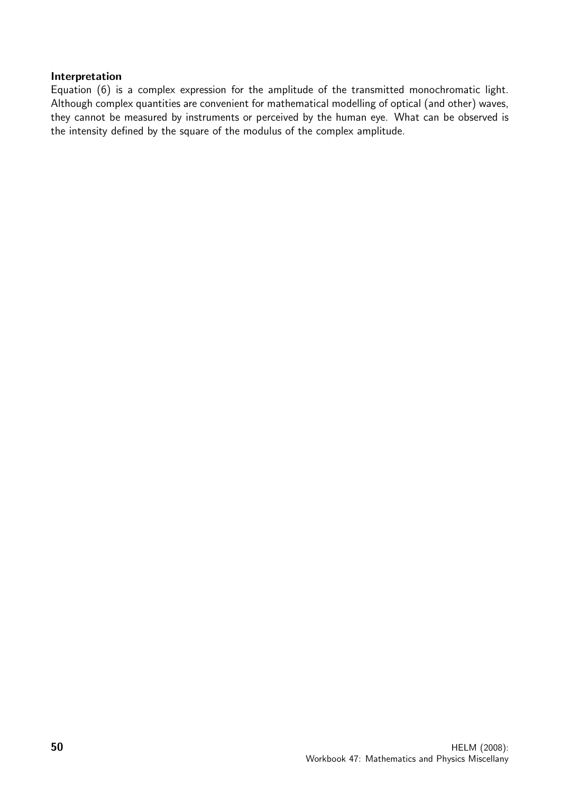#### Interpretation

Equation (6) is a complex expression for the amplitude of the transmitted monochromatic light. Although complex quantities are convenient for mathematical modelling of optical (and other) waves, they cannot be measured by instruments or perceived by the human eye. What can be observed is the intensity defined by the square of the modulus of the complex amplitude.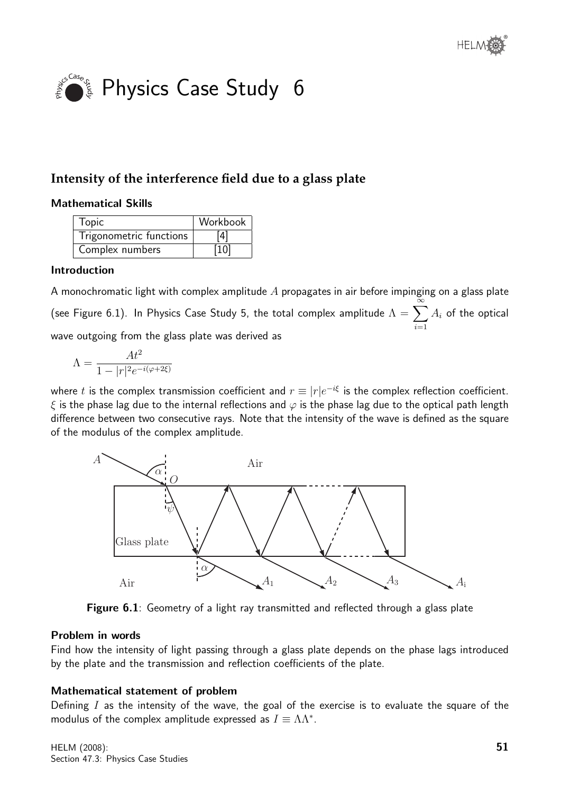

# **Intensity of the interference field due to a glass plate**

#### Mathematical Skills

| <b>Topic</b>            | Workbook |
|-------------------------|----------|
| Trigonometric functions | [4]      |
| Complex numbers         | [10]     |

#### Introduction

A monochromatic light with complex amplitude  $A$  propagates in air before impinging on a glass plate (see Figure 6.1). In Physics Case Study 5, the total complex amplitude  $\Lambda = \sum_{n=0}^{\infty}$  $i=1$  $A_i$  of the optical wave outgoing from the glass plate was derived as

$$
\Lambda = \frac{At^2}{1 - |r|^2 e^{-i(\varphi + 2\xi)}}
$$

where  $t$  is the complex transmission coefficient and  $r\equiv |r|e^{-i\xi}$  is the complex reflection coefficient.  $\xi$  is the phase lag due to the internal reflections and  $\varphi$  is the phase lag due to the optical path length difference between two consecutive rays. Note that the intensity of the wave is defined as the square of the modulus of the complex amplitude.



Figure 6.1: Geometry of a light ray transmitted and reflected through a glass plate

#### Problem in words

Find how the intensity of light passing through a glass plate depends on the phase lags introduced by the plate and the transmission and reflection coefficients of the plate.

#### Mathematical statement of problem

Defining  $I$  as the intensity of the wave, the goal of the exercise is to evaluate the square of the modulus of the complex amplitude expressed as  $I \equiv \Lambda \Lambda^*$ .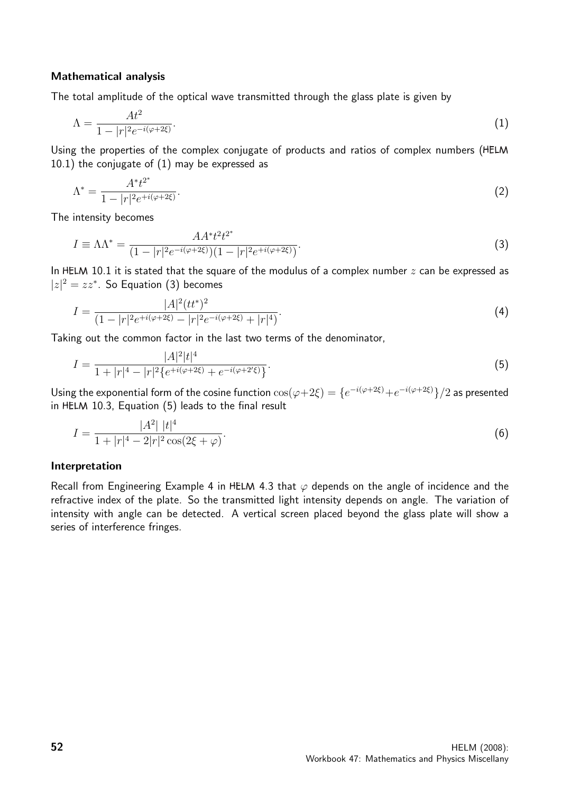#### Mathematical analysis

The total amplitude of the optical wave transmitted through the glass plate is given by

$$
\Lambda = \frac{At^2}{1 - |r|^2 e^{-i(\varphi + 2\xi)}}.\tag{1}
$$

Using the properties of the complex conjugate of products and ratios of complex numbers (HELM 10.1) the conjugate of (1) may be expressed as

$$
\Lambda^* = \frac{A^* t^{2^*}}{1 - |r|^2 e^{+i(\varphi + 2\xi)}}.
$$
\n(2)

The intensity becomes

$$
I \equiv \Lambda \Lambda^* = \frac{AA^* t^2 t^{2^*}}{(1 - |r|^2 e^{-i(\varphi + 2\xi)})(1 - |r|^2 e^{+i(\varphi + 2\xi)})}.
$$
\n(3)

In HELM 10.1 it is stated that the square of the modulus of a complex number  $z$  can be expressed as  $|z|^2 = zz^*$ . So Equation (3) becomes

$$
I = \frac{|A|^2 (tt^*)^2}{(1 - |r|^2 e^{+i(\varphi + 2\xi)} - |r|^2 e^{-i(\varphi + 2\xi)} + |r|^4)}.
$$
\n(4)

Taking out the common factor in the last two terms of the denominator,

$$
I = \frac{|A|^2 |t|^4}{1 + |r|^4 - |r|^2 \{e^{+i(\varphi + 2\xi)} + e^{-i(\varphi + 2\xi)}\}}.
$$
\n(5)

Using the exponential form of the cosine function  $\cos(\varphi+2\xi)=\{e^{-i(\varphi+2\xi)}+e^{-i(\varphi+2\xi)}\}/2$  as presented in HELM 10.3, Equation (5) leads to the final result

$$
I = \frac{|A^2| |t|^4}{1 + |r|^4 - 2|r|^2 \cos(2\xi + \varphi)}.
$$
\n(6)

#### Interpretation

Recall from Engineering Example 4 in HELM 4.3 that  $\varphi$  depends on the angle of incidence and the refractive index of the plate. So the transmitted light intensity depends on angle. The variation of intensity with angle can be detected. A vertical screen placed beyond the glass plate will show a series of interference fringes.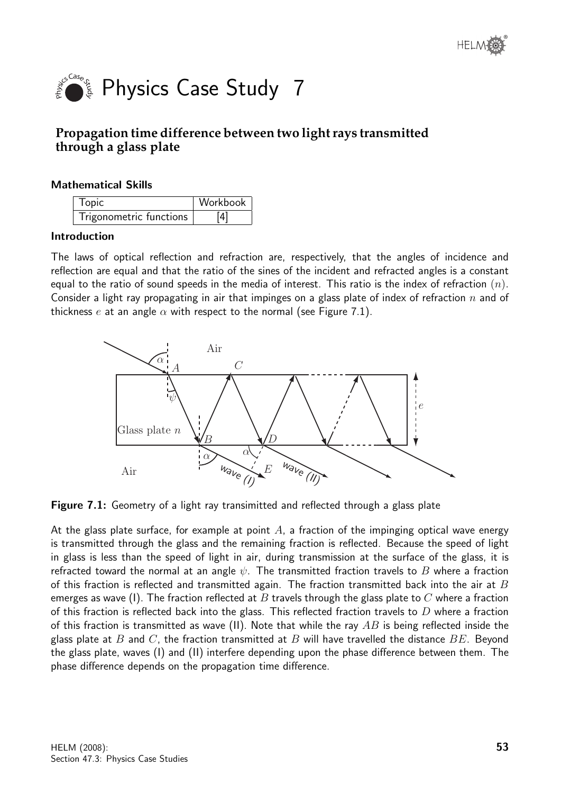

# **Propagation time difference between two light rays transmitted through a glass plate**

#### Mathematical Skills

| <b>Topic</b>            | Workbook |
|-------------------------|----------|
| Trigonometric functions | [4]      |

#### Introduction

The laws of optical reflection and refraction are, respectively, that the angles of incidence and reflection are equal and that the ratio of the sines of the incident and refracted angles is a constant equal to the ratio of sound speeds in the media of interest. This ratio is the index of refraction  $(n)$ . Consider a light ray propagating in air that impinges on a glass plate of index of refraction n and of thickness e at an angle  $\alpha$  with respect to the normal (see Figure 7.1).



Figure 7.1: Geometry of a light ray transimitted and reflected through a glass plate

At the glass plate surface, for example at point  $A$ , a fraction of the impinging optical wave energy is transmitted through the glass and the remaining fraction is reflected. Because the speed of light in glass is less than the speed of light in air, during transmission at the surface of the glass, it is refracted toward the normal at an angle  $\psi$ . The transmitted fraction travels to B where a fraction of this fraction is reflected and transmitted again. The fraction transmitted back into the air at  $B$ emerges as wave (I). The fraction reflected at B travels through the glass plate to C where a fraction of this fraction is reflected back into the glass. This reflected fraction travels to  $D$  where a fraction of this fraction is transmitted as wave (II). Note that while the ray  $AB$  is being reflected inside the glass plate at  $B$  and  $C$ , the fraction transmitted at  $B$  will have travelled the distance  $BE$ . Beyond the glass plate, waves (I) and (II) interfere depending upon the phase difference between them. The phase difference depends on the propagation time difference.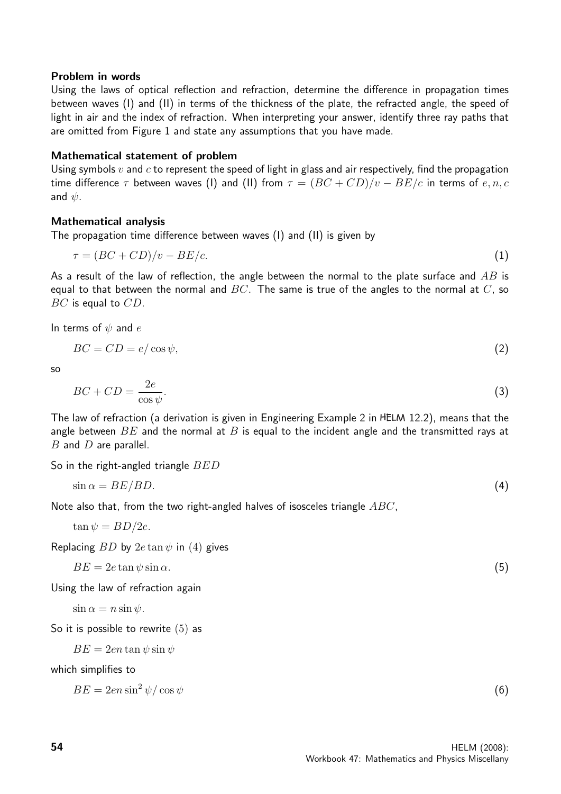#### Problem in words

Using the laws of optical reflection and refraction, determine the difference in propagation times between waves (I) and (II) in terms of the thickness of the plate, the refracted angle, the speed of light in air and the index of refraction. When interpreting your answer, identify three ray paths that are omitted from Figure 1 and state any assumptions that you have made.

#### Mathematical statement of problem

Using symbols  $v$  and  $c$  to represent the speed of light in glass and air respectively, find the propagation time difference  $\tau$  between waves (I) and (II) from  $\tau = (BC + CD)/v - BE/c$  in terms of  $e, n, c$ and  $\psi$ .

#### Mathematical analysis

The propagation time difference between waves (I) and (II) is given by

$$
\tau = (BC + CD)/v - BE/c. \tag{1}
$$

As a result of the law of reflection, the angle between the normal to the plate surface and  $AB$  is equal to that between the normal and  $BC$ . The same is true of the angles to the normal at  $C$ , so BC is equal to CD.

In terms of  $\psi$  and  $e$ 

$$
BC = CD = e/\cos\psi,\tag{2}
$$

so

$$
BC + CD = \frac{2e}{\cos \psi}.\tag{3}
$$

The law of refraction (a derivation is given in Engineering Example 2 in 12.2), means that the angle between  $BE$  and the normal at B is equal to the incident angle and the transmitted rays at  $B$  and  $D$  are parallel.

So in the right-angled triangle  $BED$ 

$$
\sin \alpha = BE/BD. \tag{4}
$$

Note also that, from the two right-angled halves of isosceles triangle  $ABC$ ,

$$
\tan \psi = BD/2e.
$$

Replacing  $BD$  by  $2e \tan \psi$  in (4) gives

 $BE = 2e \tan \psi \sin \alpha.$  (5)

Using the law of refraction again

$$
\sin \alpha = n \sin \psi.
$$

So it is possible to rewrite (5) as

 $BE = 2en \tan \psi \sin \psi$ 

which simplifies to

$$
BE = 2en\sin^2\psi/\cos\psi\tag{6}
$$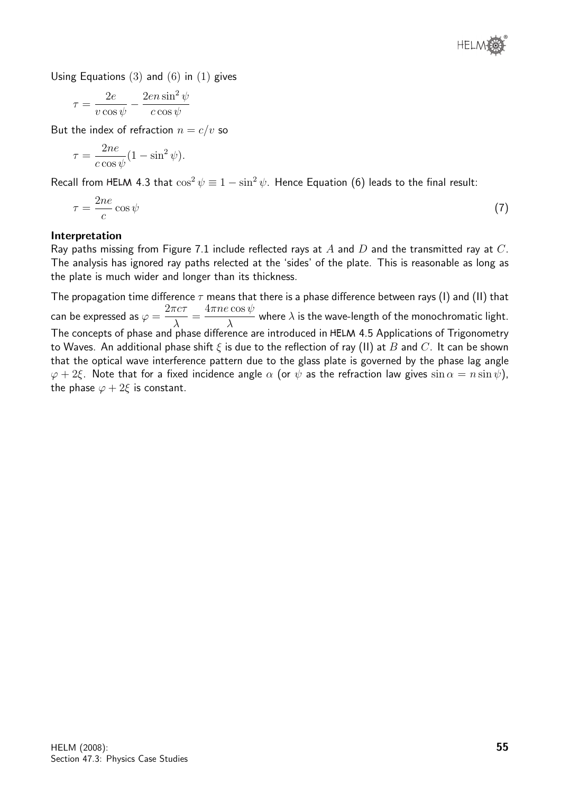

Using Equations  $(3)$  and  $(6)$  in  $(1)$  gives

$$
\tau = \frac{2e}{v\cos\psi} - \frac{2en\sin^2\psi}{c\cos\psi}
$$

But the index of refraction  $n = c/v$  so

$$
\tau = \frac{2ne}{c\cos\psi}(1-\sin^2\psi).
$$

Recall from HELM 4.3 that  $\cos^2 \psi \equiv 1 - \sin^2 \psi$ . Hence Equation (6) leads to the final result:

$$
\tau = \frac{2ne}{c}\cos\psi\tag{7}
$$

#### Interpretation

Ray paths missing from Figure 7.1 include reflected rays at  $A$  and  $D$  and the transmitted ray at  $C$ . The analysis has ignored ray paths relected at the 'sides' of the plate. This is reasonable as long as the plate is much wider and longer than its thickness.

The propagation time difference  $\tau$  means that there is a phase difference between rays (I) and (II) that can be expressed as  $\varphi =$  $2\pi c\tau$ λ =  $4\pi ne\cos\psi$ λ where  $\lambda$  is the wave-length of the monochromatic light. The concepts of phase and phase difference are introduced in HELM 4.5 Applications of Trigonometry to Waves. An additional phase shift  $\xi$  is due to the reflection of ray (II) at B and C. It can be shown that the optical wave interference pattern due to the glass plate is governed by the phase lag angle  $\varphi + 2\xi$ . Note that for a fixed incidence angle  $\alpha$  (or  $\psi$  as the refraction law gives  $\sin \alpha = n \sin \psi$ ), the phase  $\varphi + 2\xi$  is constant.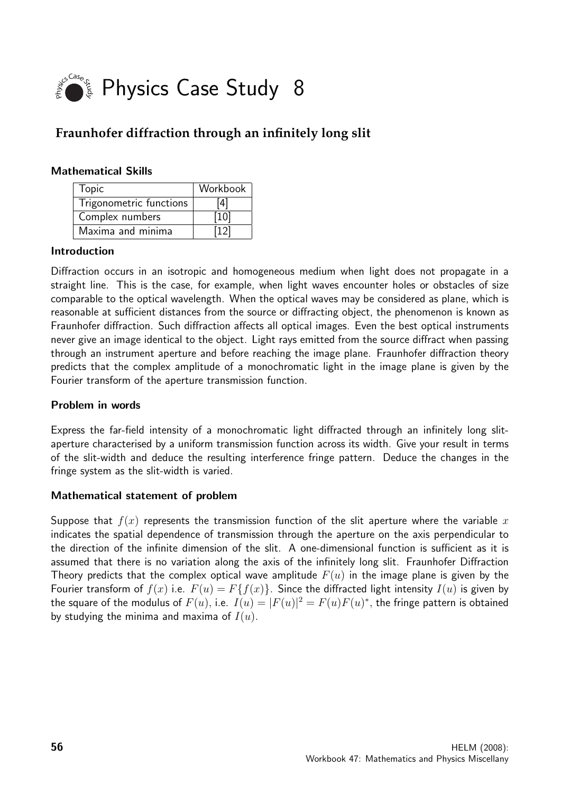

# **Fraunhofer diffraction through an infinitely long slit**

#### Mathematical Skills

| Topic                   | Workbook |
|-------------------------|----------|
| Trigonometric functions | [4]      |
| Complex numbers         | [10]     |
| Maxima and minima       | [12]     |

#### Introduction

Diffraction occurs in an isotropic and homogeneous medium when light does not propagate in a straight line. This is the case, for example, when light waves encounter holes or obstacles of size comparable to the optical wavelength. When the optical waves may be considered as plane, which is reasonable at sufficient distances from the source or diffracting object, the phenomenon is known as Fraunhofer diffraction. Such diffraction affects all optical images. Even the best optical instruments never give an image identical to the object. Light rays emitted from the source diffract when passing through an instrument aperture and before reaching the image plane. Fraunhofer diffraction theory predicts that the complex amplitude of a monochromatic light in the image plane is given by the Fourier transform of the aperture transmission function.

#### Problem in words

Express the far-field intensity of a monochromatic light diffracted through an infinitely long slitaperture characterised by a uniform transmission function across its width. Give your result in terms of the slit-width and deduce the resulting interference fringe pattern. Deduce the changes in the fringe system as the slit-width is varied.

#### Mathematical statement of problem

Suppose that  $f(x)$  represents the transmission function of the slit aperture where the variable x indicates the spatial dependence of transmission through the aperture on the axis perpendicular to the direction of the infinite dimension of the slit. A one-dimensional function is sufficient as it is assumed that there is no variation along the axis of the infinitely long slit. Fraunhofer Diffraction Theory predicts that the complex optical wave amplitude  $F(u)$  in the image plane is given by the Fourier transform of  $f(x)$  i.e.  $F(u) = F{f(x)}$ . Since the diffracted light intensity  $I(u)$  is given by the square of the modulus of  $F(u)$ , i.e.  $I(u) = |F(u)|^2 = F(u)F(u)^*$ , the fringe pattern is obtained by studying the minima and maxima of  $I(u)$ .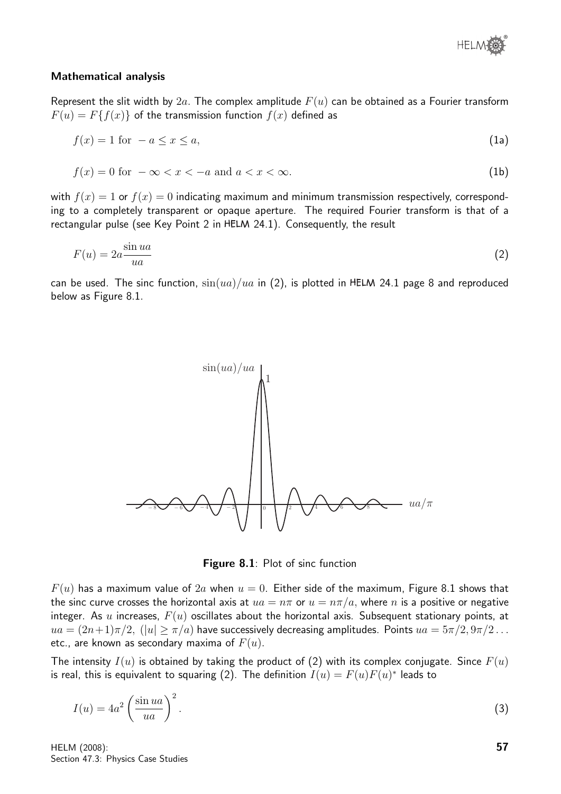

#### Mathematical analysis

Represent the slit width by  $2a$ . The complex amplitude  $F(u)$  can be obtained as a Fourier transform  $F(u) = F{f(x)}$  of the transmission function  $f(x)$  defined as

$$
f(x) = 1 \text{ for } -a \le x \le a,\tag{1a}
$$

$$
f(x) = 0 \text{ for } -\infty < x < -a \text{ and } a < x < \infty. \tag{1b}
$$

with  $f(x) = 1$  or  $f(x) = 0$  indicating maximum and minimum transmission respectively, corresponding to a completely transparent or opaque aperture. The required Fourier transform is that of a rectangular pulse (see Key Point 2 in HELM 24.1). Consequently, the result

$$
F(u) = 2a \frac{\sin ua}{ua}
$$
 (2)

can be used. The sinc function,  $\sin(ua)/ua$  in (2), is plotted in HELM 24.1 page 8 and reproduced below as Figure 8.1.



Figure 8.1: Plot of sinc function

 $F(u)$  has a maximum value of  $2a$  when  $u = 0$ . Either side of the maximum, Figure 8.1 shows that the sinc curve crosses the horizontal axis at  $ua = n\pi$  or  $u = n\pi/a$ , where n is a positive or negative integer. As u increases,  $F(u)$  oscillates about the horizontal axis. Subsequent stationary points, at  $ua = (2n+1)\pi/2$ ,  $(|u| \ge \pi/a)$  have successively decreasing amplitudes. Points  $ua = 5\pi/2, 9\pi/2...$ etc., are known as secondary maxima of  $F(u)$ .

The intensity  $I(u)$  is obtained by taking the product of (2) with its complex conjugate. Since  $F(u)$ is real, this is equivalent to squaring (2). The definition  $I(u) = F(u)F(u)^*$  leads to

$$
I(u) = 4a^2 \left(\frac{\sin ua}{ua}\right)^2.
$$
 (3)

HELM (2008): Section 47.3: Physics Case Studies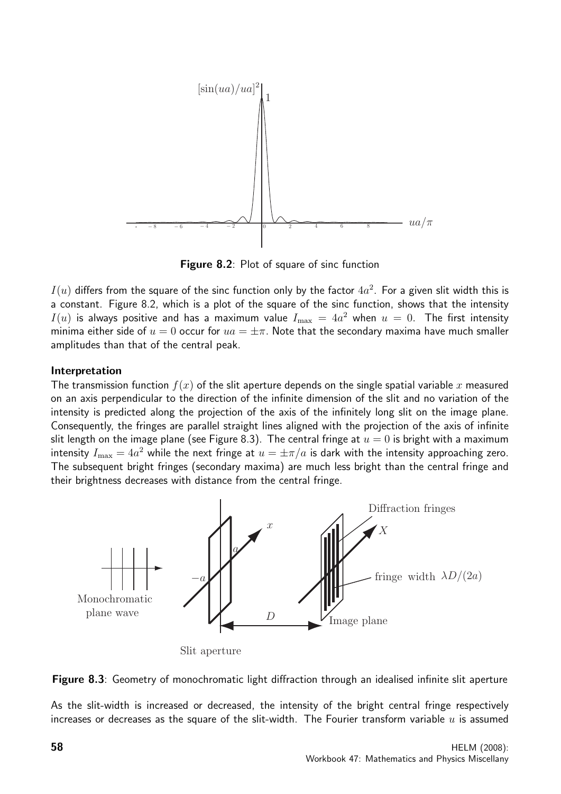

Figure 8.2: Plot of square of sinc function

 $I(u)$  differs from the square of the sinc function only by the factor  $4a^2$ . For a given slit width this is a constant. Figure 8.2, which is a plot of the square of the sinc function, shows that the intensity  $I(u)$  is always positive and has a maximum value  $I_{\max} \, = \, 4a^2$  when  $u \, = \, 0.$  The first intensity minima either side of  $u = 0$  occur for  $ua = \pm \pi$ . Note that the secondary maxima have much smaller amplitudes than that of the central peak.

#### Interpretation

The transmission function  $f(x)$  of the slit aperture depends on the single spatial variable x measured on an axis perpendicular to the direction of the infinite dimension of the slit and no variation of the intensity is predicted along the projection of the axis of the infinitely long slit on the image plane. Consequently, the fringes are parallel straight lines aligned with the projection of the axis of infinite slit length on the image plane (see Figure 8.3). The central fringe at  $u = 0$  is bright with a maximum intensity  $I_{\max}=4a^2$  while the next fringe at  $u=\pm \pi/a$  is dark with the intensity approaching zero. The subsequent bright fringes (secondary maxima) are much less bright than the central fringe and their brightness decreases with distance from the central fringe.



Slit aperture



As the slit-width is increased or decreased, the intensity of the bright central fringe respectively increases or decreases as the square of the slit-width. The Fourier transform variable  $u$  is assumed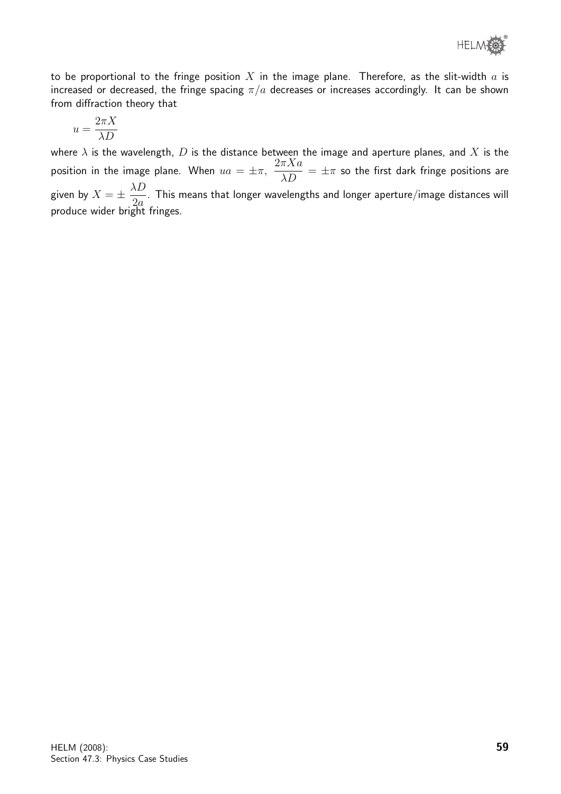to be proportional to the fringe position X in the image plane. Therefore, as the slit-width  $a$  is increased or decreased, the fringe spacing  $\pi/a$  decreases or increases accordingly. It can be shown from diffraction theory that

$$
u=\frac{2\pi X}{\lambda D}
$$

where  $\lambda$  is the wavelength, D is the distance between the image and aperture planes, and X is the position in the image plane. When  $ua = \pm \pi$ ,  $\frac{2\pi Xa}{\lambda D} = \pm \pi$  so the first dark fringe positions are given by  $X = \pm \frac{\lambda D}{2}$  $2a$ . This means that longer wavelengths and longer aperture/image distances will produce wider bright fringes.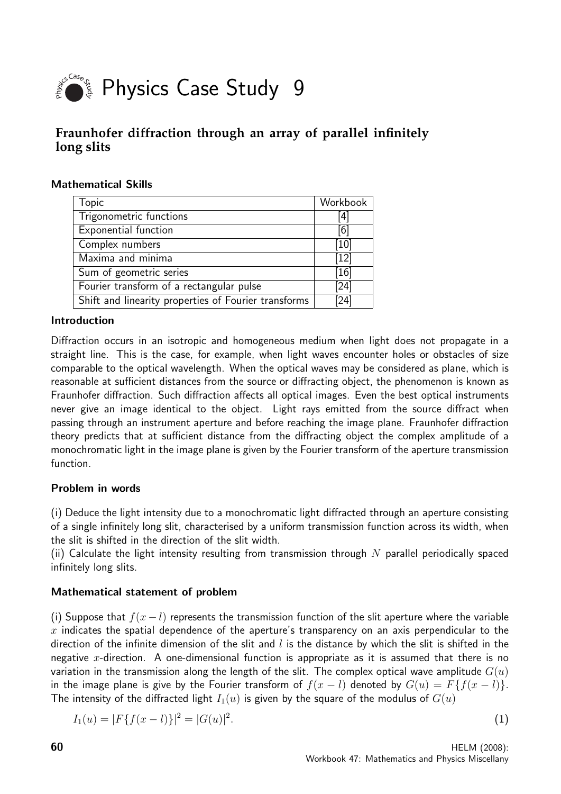

## **Fraunhofer diffraction through an array of parallel infinitely long slits**

#### Mathematical Skills

| <b>Topic</b>                                         | Workbook |
|------------------------------------------------------|----------|
| Trigonometric functions                              | 4        |
| Exponential function                                 | [6]      |
| Complex numbers                                      | [10]     |
| Maxima and minima                                    | $[12]$   |
| Sum of geometric series                              | [16]     |
| Fourier transform of a rectangular pulse             | [24]     |
| Shift and linearity properties of Fourier transforms | [24]     |

#### Introduction

Diffraction occurs in an isotropic and homogeneous medium when light does not propagate in a straight line. This is the case, for example, when light waves encounter holes or obstacles of size comparable to the optical wavelength. When the optical waves may be considered as plane, which is reasonable at sufficient distances from the source or diffracting object, the phenomenon is known as Fraunhofer diffraction. Such diffraction affects all optical images. Even the best optical instruments never give an image identical to the object. Light rays emitted from the source diffract when passing through an instrument aperture and before reaching the image plane. Fraunhofer diffraction theory predicts that at sufficient distance from the diffracting object the complex amplitude of a monochromatic light in the image plane is given by the Fourier transform of the aperture transmission function.

#### Problem in words

(i) Deduce the light intensity due to a monochromatic light diffracted through an aperture consisting of a single infinitely long slit, characterised by a uniform transmission function across its width, when the slit is shifted in the direction of the slit width.

(ii) Calculate the light intensity resulting from transmission through  $N$  parallel periodically spaced infinitely long slits.

#### Mathematical statement of problem

(i) Suppose that  $f(x - l)$  represents the transmission function of the slit aperture where the variable  $x$  indicates the spatial dependence of the aperture's transparency on an axis perpendicular to the direction of the infinite dimension of the slit and  $l$  is the distance by which the slit is shifted in the negative x-direction. A one-dimensional function is appropriate as it is assumed that there is no variation in the transmission along the length of the slit. The complex optical wave amplitude  $G(u)$ in the image plane is give by the Fourier transform of  $f(x - l)$  denoted by  $G(u) = F{f(x - l)}$ . The intensity of the diffracted light  $I_1(u)$  is given by the square of the modulus of  $G(u)$ 

$$
I_1(u) = |F\{f(x-l)\}|^2 = |G(u)|^2.
$$
\n(1)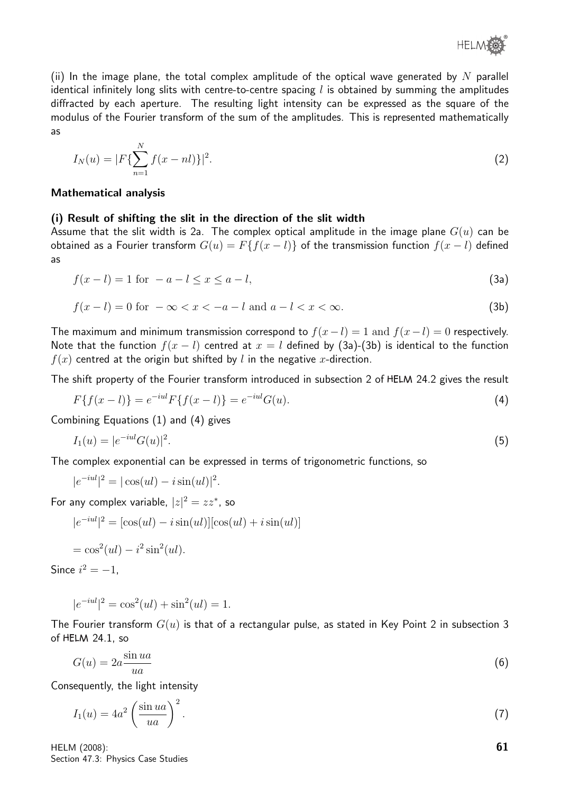

(ii) In the image plane, the total complex amplitude of the optical wave generated by N parallel identical infinitely long slits with centre-to-centre spacing  $l$  is obtained by summing the amplitudes diffracted by each aperture. The resulting light intensity can be expressed as the square of the modulus of the Fourier transform of the sum of the amplitudes. This is represented mathematically as

$$
I_N(u) = |F\{\sum_{n=1}^N f(x - nl)\}|^2.
$$
 (2)

#### Mathematical analysis

#### (i) Result of shifting the slit in the direction of the slit width

Assume that the slit width is 2a. The complex optical amplitude in the image plane  $G(u)$  can be obtained as a Fourier transform  $G(u) = F{f(x - l)}$  of the transmission function  $f(x - l)$  defined as

$$
f(x-l) = 1 \text{ for } -a-l \le x \le a-l,\tag{3a}
$$

$$
f(x - l) = 0 \text{ for } -\infty < x < -a - l \text{ and } a - l < x < \infty. \tag{3b}
$$

The maximum and minimum transmission correspond to  $f(x-l) = 1$  and  $f(x-l) = 0$  respectively. Note that the function  $f(x - l)$  centred at  $x = l$  defined by (3a)-(3b) is identical to the function  $f(x)$  centred at the origin but shifted by l in the negative x-direction.

The shift property of the Fourier transform introduced in subsection 2 of HELM 24.2 gives the result

$$
F\{f(x-l)\} = e^{-iul}F\{f(x-l)\} = e^{-iul}G(u). \tag{4}
$$

Combining Equations (1) and (4) gives

$$
I_1(u) = |e^{-iul}G(u)|^2.
$$
\n(5)

The complex exponential can be expressed in terms of trigonometric functions, so

$$
|e^{-iul}|^2 = |\cos(ul) - i\sin(ul)|^2.
$$

For any complex variable,  $|z|^2 = zz^*$ , so

$$
|e^{-iul}|^2 = [\cos(ul) - i\sin(ul)][\cos(ul) + i\sin(ul)]
$$

$$
= \cos^2(ul) - i^2 \sin^2(ul).
$$

Since  $i^2 = -1$ ,

$$
|e^{-iul}|^2 = \cos^2(ul) + \sin^2(ul) = 1.
$$

The Fourier transform  $G(u)$  is that of a rectangular pulse, as stated in Key Point 2 in subsection 3 of HELM 24.1, so

$$
G(u) = 2a \frac{\sin ua}{ua} \tag{6}
$$

Consequently, the light intensity

$$
I_1(u) = 4a^2 \left(\frac{\sin ua}{ua}\right)^2.
$$
 (7)

HELM (2008): Section 47.3: Physics Case Studies 61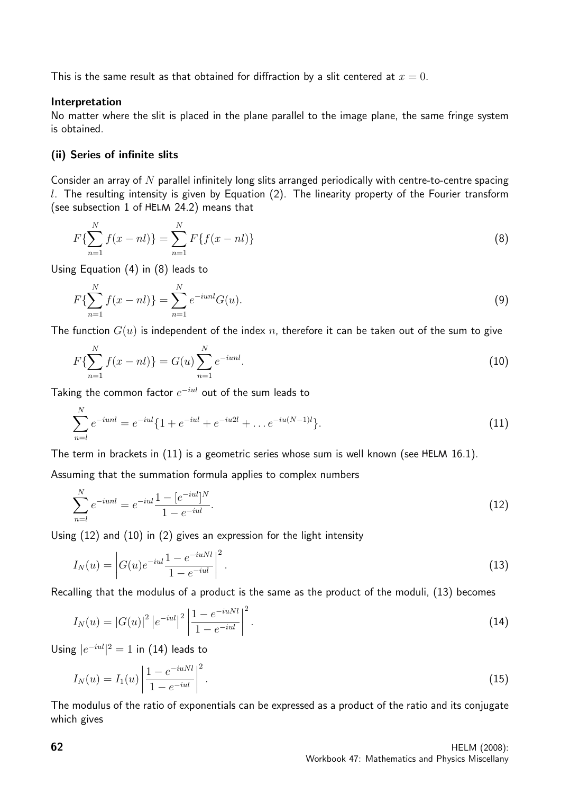This is the same result as that obtained for diffraction by a slit centered at  $x = 0$ .

#### Interpretation

No matter where the slit is placed in the plane parallel to the image plane, the same fringe system is obtained.

#### (ii) Series of infinite slits

Consider an array of  $N$  parallel infinitely long slits arranged periodically with centre-to-centre spacing  $l$ . The resulting intensity is given by Equation (2). The linearity property of the Fourier transform (see subsection 1 of HELM 24.2) means that

$$
F\{\sum_{n=1}^{N} f(x-nl)\} = \sum_{n=1}^{N} F\{f(x-nl)\}\tag{8}
$$

Using Equation (4) in (8) leads to

$$
F\{\sum_{n=1}^{N} f(x - nl)\} = \sum_{n=1}^{N} e^{-iunl} G(u). \tag{9}
$$

The function  $G(u)$  is independent of the index n, therefore it can be taken out of the sum to give

$$
F\{\sum_{n=1}^{N} f(x - nl)\} = G(u) \sum_{n=1}^{N} e^{-iunl}.
$$
 (10)

Taking the common factor  $e^{-i u l}$  out of the sum leads to

$$
\sum_{n=l}^{N} e^{-i u n l} = e^{-i u l} \{ 1 + e^{-i u l} + e^{-i u 2 l} + \dots e^{-i u (N-1) l} \}.
$$
\n(11)

The term in brackets in  $(11)$  is a geometric series whose sum is well known (see HELM 16.1).

Assuming that the summation formula applies to complex numbers

$$
\sum_{n=l}^{N} e^{-i u n l} = e^{-i u l} \frac{1 - [e^{-i u l}]^{N}}{1 - e^{-i u l}}.
$$
\n(12)

Using (12) and (10) in (2) gives an expression for the light intensity

$$
I_N(u) = \left| G(u)e^{-iul} \frac{1 - e^{-iuNl}}{1 - e^{-iul}} \right|^2.
$$
\n(13)

Recalling that the modulus of a product is the same as the product of the moduli, (13) becomes

$$
I_N(u) = |G(u)|^2 |e^{-iul}|^2 \left| \frac{1 - e^{-iuNl}}{1 - e^{-iul}} \right|^2.
$$
\n(14)

Using  $|e^{-iul}|^2 = 1$  in (14) leads to

$$
I_N(u) = I_1(u) \left| \frac{1 - e^{-iuNl}}{1 - e^{-iul}} \right|^2.
$$
\n(15)

The modulus of the ratio of exponentials can be expressed as a product of the ratio and its conjugate which gives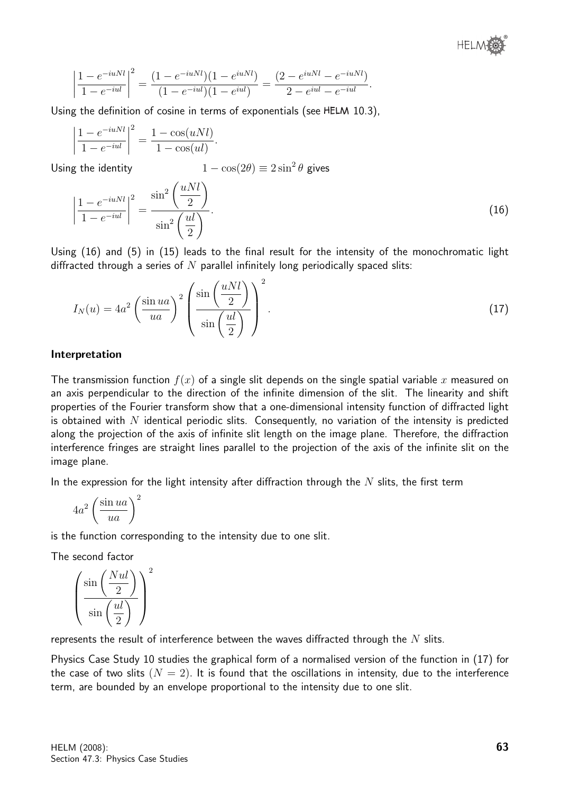$$
\left|\frac{1-e^{-iuNl}}{1-e^{-iul}}\right|^2 = \frac{(1-e^{-iuNl})(1-e^{iuNl})}{(1-e^{-iul})(1-e^{iul})} = \frac{(2-e^{iuNl}-e^{-iuNl})}{2-e^{iul}-e^{-iul}}.
$$

Using the definition of cosine in terms of exponentials (see HELM 10.3).

$$
\left|\frac{1 - e^{-iuNl}}{1 - e^{-iul}}\right|^2 = \frac{1 - \cos(uNl)}{1 - \cos(ul)}.
$$

Using the identity  $1 - \cos(2\theta) \equiv 2\sin^2\theta$  gives

$$
\left|\frac{1 - e^{-iuNl}}{1 - e^{-iul}}\right|^2 = \frac{\sin^2\left(\frac{uNl}{2}\right)}{\sin^2\left(\frac{ul}{2}\right)}.\tag{16}
$$

Using (16) and (5) in (15) leads to the final result for the intensity of the monochromatic light diffracted through a series of  $N$  parallel infinitely long periodically spaced slits:

$$
I_N(u) = 4a^2 \left(\frac{\sin ua}{ua}\right)^2 \left(\frac{\sin \left(\frac{uNl}{2}\right)}{\sin \left(\frac{ul}{2}\right)}\right)^2.
$$
 (17)

#### Interpretation

The transmission function  $f(x)$  of a single slit depends on the single spatial variable x measured on an axis perpendicular to the direction of the infinite dimension of the slit. The linearity and shift properties of the Fourier transform show that a one-dimensional intensity function of diffracted light is obtained with  $N$  identical periodic slits. Consequently, no variation of the intensity is predicted along the projection of the axis of infinite slit length on the image plane. Therefore, the diffraction interference fringes are straight lines parallel to the projection of the axis of the infinite slit on the image plane.

In the expression for the light intensity after diffraction through the  $N$  slits, the first term

$$
4a^2 \left(\frac{\sin ua}{ua}\right)^2
$$

is the function corresponding to the intensity due to one slit.

The second factor

$$
\left(\frac{\sin\left(\frac{Nul}{2}\right)}{\sin\left(\frac{ul}{2}\right)}\right)^2
$$

represents the result of interference between the waves diffracted through the  $N$  slits.

Physics Case Study 10 studies the graphical form of a normalised version of the function in (17) for the case of two slits  $(N = 2)$ . It is found that the oscillations in intensity, due to the interference term, are bounded by an envelope proportional to the intensity due to one slit.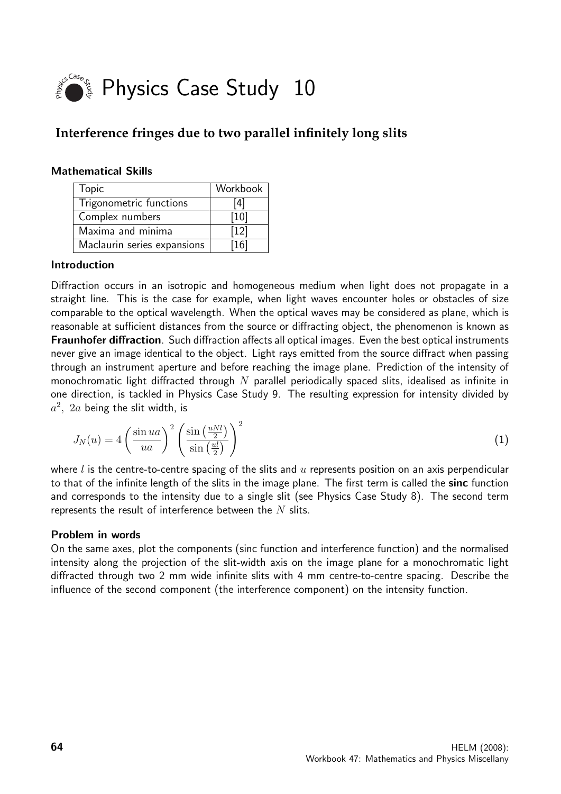

# **Interference fringes due to two parallel infinitely long slits**

#### Mathematical Skills

| Topic                       | Workbook |
|-----------------------------|----------|
| Trigonometric functions     | '4]      |
| Complex numbers             | [10]     |
| Maxima and minima           | $[12]$   |
| Maclaurin series expansions | [16]     |

#### Introduction

Diffraction occurs in an isotropic and homogeneous medium when light does not propagate in a straight line. This is the case for example, when light waves encounter holes or obstacles of size comparable to the optical wavelength. When the optical waves may be considered as plane, which is reasonable at sufficient distances from the source or diffracting object, the phenomenon is known as Fraunhofer diffraction. Such diffraction affects all optical images. Even the best optical instruments never give an image identical to the object. Light rays emitted from the source diffract when passing through an instrument aperture and before reaching the image plane. Prediction of the intensity of monochromatic light diffracted through  $N$  parallel periodically spaced slits, idealised as infinite in one direction, is tackled in Physics Case Study 9. The resulting expression for intensity divided by  $a^2$ ,  $2a$  being the slit width, is

$$
J_N(u) = 4\left(\frac{\sin ua}{ua}\right)^2 \left(\frac{\sin\left(\frac{uNl}{2}\right)}{\sin\left(\frac{ul}{2}\right)}\right)^2\tag{1}
$$

where  $l$  is the centre-to-centre spacing of the slits and  $u$  represents position on an axis perpendicular to that of the infinite length of the slits in the image plane. The first term is called the sinc function and corresponds to the intensity due to a single slit (see Physics Case Study 8). The second term represents the result of interference between the  $N$  slits.

#### Problem in words

On the same axes, plot the components (sinc function and interference function) and the normalised intensity along the projection of the slit-width axis on the image plane for a monochromatic light diffracted through two 2 mm wide infinite slits with 4 mm centre-to-centre spacing. Describe the influence of the second component (the interference component) on the intensity function.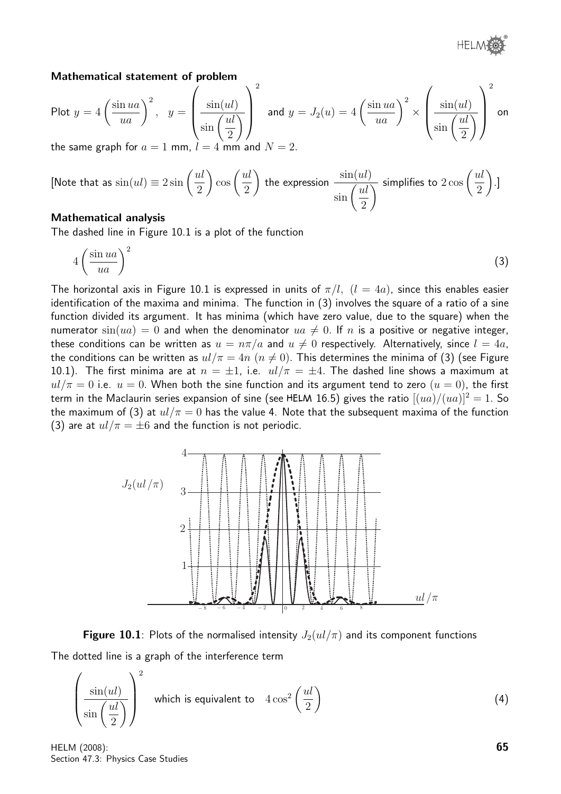#### Mathematical statement of problem

Plot 
$$
y = 4 \left( \frac{\sin ua}{ua} \right)^2
$$
,  $y = \left( \frac{\sin(ul)}{\sin(\frac{ul}{2})} \right)^2$  and  $y = J_2(u) = 4 \left( \frac{\sin ua}{ua} \right)^2 \times \left( \frac{\sin(ul)}{\sin(\frac{ul}{2})} \right)^2$  on the same graph for  $a = 1$  mm and  $N = 2$ .

the same graph for  $a = 1$  mm,  $l = 4$  mm and  $N = 2$ .

[Note that as 
$$
\sin(ul) \equiv 2\sin\left(\frac{ul}{2}\right)\cos\left(\frac{ul}{2}\right)
$$
 the expression  $\frac{\sin(ul)}{\sin\left(\frac{ul}{2}\right)}$  simplifies to  $2\cos\left(\frac{ul}{2}\right)$ .]

#### Mathematical analysis

The dashed line in Figure 10.1 is a plot of the function

$$
4\left(\frac{\sin ua}{ua}\right)^2\tag{3}
$$

The horizontal axis in Figure 10.1 is expressed in units of  $\pi/l$ ,  $(l = 4a)$ , since this enables easier identification of the maxima and minima. The function in (3) involves the square of a ratio of a sine function divided its argument. It has minima (which have zero value, due to the square) when the numerator  $sin(ua) = 0$  and when the denominator  $ua \neq 0$ . If n is a positive or negative integer, these conditions can be written as  $u = n\pi/a$  and  $u \neq 0$  respectively. Alternatively, since  $l = 4a$ , the conditions can be written as  $ul/\pi = 4n$   $(n \neq 0)$ . This determines the minima of (3) (see Figure 10.1). The first minima are at  $n = \pm 1$ , i.e.  $ul/\pi = \pm 4$ . The dashed line shows a maximum at  $u l / \pi = 0$  i.e.  $u = 0$ . When both the sine function and its argument tend to zero  $(u = 0)$ , the first term in the Maclaurin series expansion of sine (see HELM 16.5) gives the ratio  $[(ua)/(ua)]^2 = 1$ . So the maximum of (3) at  $ul/\pi = 0$  has the value 4. Note that the subsequent maxima of the function (3) are at  $u l / \pi = \pm 6$  and the function is not periodic.



**Figure 10.1**: Plots of the normalised intensity  $J_2(u)/\pi$  and its component functions The dotted line is a graph of the interference term

$$
\left(\frac{\sin(ul)}{\sin\left(\frac{ul}{2}\right)}\right)^2 \text{ which is equivalent to } 4\cos^2\left(\frac{ul}{2}\right) \tag{4}
$$

HELM (2008): Section 47.3: Physics Case Studies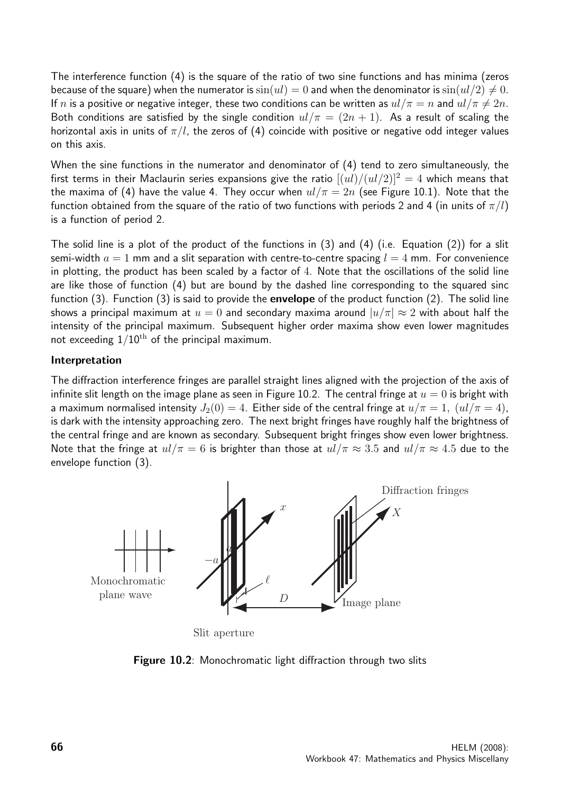The interference function (4) is the square of the ratio of two sine functions and has minima (zeros because of the square) when the numerator is  $sin(ul) = 0$  and when the denominator is  $sin(ul/2) \neq 0$ . If n is a positive or negative integer, these two conditions can be written as  $ul/\pi = n$  and  $ul/\pi \neq 2n$ . Both conditions are satisfied by the single condition  $ul/\pi = (2n + 1)$ . As a result of scaling the horizontal axis in units of  $\pi/l$ , the zeros of (4) coincide with positive or negative odd integer values on this axis.

When the sine functions in the numerator and denominator of (4) tend to zero simultaneously, the first terms in their Maclaurin series expansions give the ratio  $[(ul)/(ul/2)]^2 = 4$  which means that the maxima of (4) have the value 4. They occur when  $ul/\pi = 2n$  (see Figure 10.1). Note that the function obtained from the square of the ratio of two functions with periods 2 and 4 (in units of  $\pi/l$ ) is a function of period 2.

The solid line is a plot of the product of the functions in (3) and (4) (i.e. Equation (2)) for a slit semi-width  $a = 1$  mm and a slit separation with centre-to-centre spacing  $l = 4$  mm. For convenience in plotting, the product has been scaled by a factor of 4. Note that the oscillations of the solid line are like those of function (4) but are bound by the dashed line corresponding to the squared sinc function  $(3)$ . Function  $(3)$  is said to provide the **envelope** of the product function  $(2)$ . The solid line shows a principal maximum at  $u = 0$  and secondary maxima around  $|u/\pi| \approx 2$  with about half the intensity of the principal maximum. Subsequent higher order maxima show even lower magnitudes not exceeding  $1/10^{\text{th}}$  of the principal maximum.

#### Interpretation

The diffraction interference fringes are parallel straight lines aligned with the projection of the axis of infinite slit length on the image plane as seen in Figure 10.2. The central fringe at  $u = 0$  is bright with a maximum normalised intensity  $J_2(0) = 4$ . Either side of the central fringe at  $u/\pi = 1$ ,  $(ul/\pi = 4)$ , is dark with the intensity approaching zero. The next bright fringes have roughly half the brightness of the central fringe and are known as secondary. Subsequent bright fringes show even lower brightness. Note that the fringe at  $ul/\pi = 6$  is brighter than those at  $ul/\pi \approx 3.5$  and  $ul/\pi \approx 4.5$  due to the envelope function (3).



Slit aperture

Figure 10.2: Monochromatic light diffraction through two slits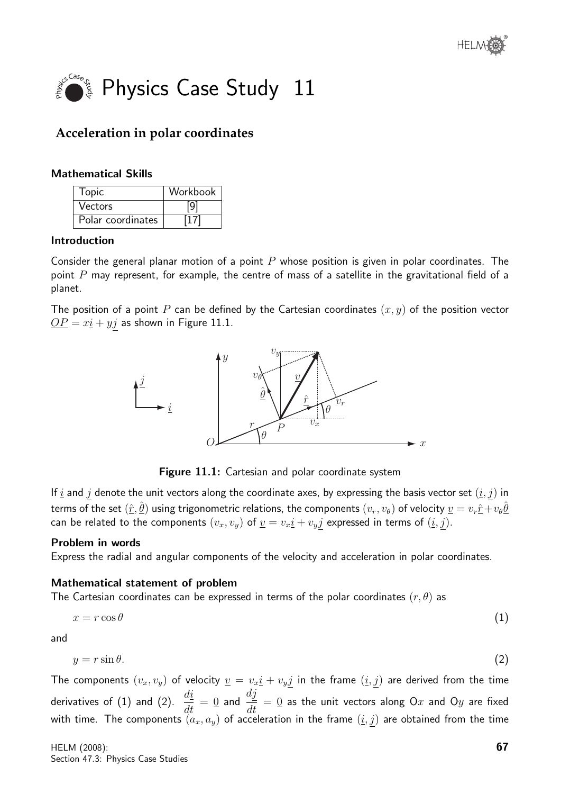

# **Acceleration in polar coordinates**

#### Mathematical Skills

| <b>Topic</b>      | Workbook |
|-------------------|----------|
| Vectors           |          |
| Polar coordinates |          |

#### Introduction

Consider the general planar motion of a point  $P$  whose position is given in polar coordinates. The point  $P$  may represent, for example, the centre of mass of a satellite in the gravitational field of a planet.

The position of a point P can be defined by the Cartesian coordinates  $(x, y)$  of the position vector  $\underline{OP} = x\underline{i} + y\underline{j}$  as shown in Figure 11.1.



Figure 11.1: Cartesian and polar coordinate system

If  $\underline{i}$  and  $j$  denote the unit vectors along the coordinate axes, by expressing the basis vector set  $(\underline{i},j)$  in terms of the set  $(\hat r,\hat\theta)$  using trigonometric relations, the components  $(v_r,v_\theta)$  of velocity  $\underline{v}=v_r\hat r+v_\theta\hat\theta$ can be related to the components  $(v_x, v_y)$  of  $\underline{v} = v_x \underline{i} + v_y \underline{j}$  expressed in terms of  $(\underline{i}, \underline{j})$ .

#### Problem in words

Express the radial and angular components of the velocity and acceleration in polar coordinates.

#### Mathematical statement of problem

The Cartesian coordinates can be expressed in terms of the polar coordinates  $(r, \theta)$  as

$$
x = r \cos \theta \tag{1}
$$

and

$$
y = r\sin\theta.\tag{2}
$$

The components  $(v_x, v_y)$  of velocity  $\underline{v} = v_x \underline{i} + v_y \underline{j}$  in the frame  $(\underline{i}, \underline{j})$  are derived from the time derivatives of (1) and (2).  $\frac{di}{dt}$  $\frac{d\Omega}{dt} = 0$  and dj  $\frac{d\mathbf{v}}{dt} = 0$  as the unit vectors along Ox and Oy are fixed with time. The components  $(a_x,a_y)$  of acceleration in the frame  $(\underline{i},\underline{j})$  are obtained from the time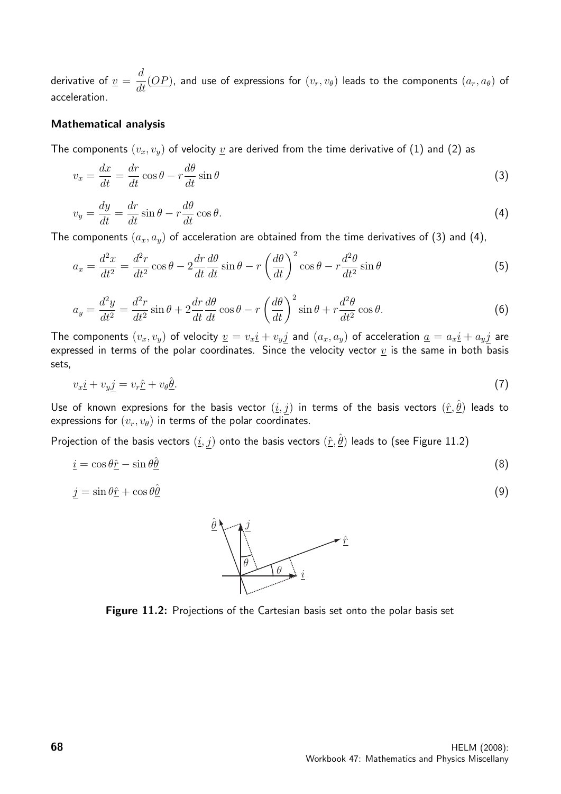derivative of  $\underline{v} =$ d  $\frac{d}{dt}(\underline{OP})$ , and use of expressions for  $(v_r, v_{\theta})$  leads to the components  $(a_r, a_{\theta})$  of acceleration.

#### Mathematical analysis

The components  $(v_x, v_y)$  of velocity  $\underline{v}$  are derived from the time derivative of (1) and (2) as

$$
v_x = \frac{dx}{dt} = \frac{dr}{dt}\cos\theta - r\frac{d\theta}{dt}\sin\theta
$$
\n(3)

$$
v_y = \frac{dy}{dt} = \frac{dr}{dt}\sin\theta - r\frac{d\theta}{dt}\cos\theta.
$$
\n(4)

The components  $(a_x, a_y)$  of acceleration are obtained from the time derivatives of (3) and (4),

$$
a_x = \frac{d^2x}{dt^2} = \frac{d^2r}{dt^2}\cos\theta - 2\frac{dr}{dt}\frac{d\theta}{dt}\sin\theta - r\left(\frac{d\theta}{dt}\right)^2\cos\theta - r\frac{d^2\theta}{dt^2}\sin\theta\tag{5}
$$

$$
a_y = \frac{d^2y}{dt^2} = \frac{d^2r}{dt^2}\sin\theta + 2\frac{dr}{dt}\frac{d\theta}{dt}\cos\theta - r\left(\frac{d\theta}{dt}\right)^2\sin\theta + r\frac{d^2\theta}{dt^2}\cos\theta.
$$
 (6)

The components  $(v_x, v_y)$  of velocity  $\underline{v} = v_x \underline{i} + v_y \underline{j}$  and  $(a_x, a_y)$  of acceleration  $\underline{a} = a_x \underline{i} + a_y \underline{j}$  are expressed in terms of the polar coordinates. Since the velocity vector  $\underline{v}$  is the same in both basis sets,

$$
v_x \underline{i} + v_y \underline{j} = v_r \hat{\underline{r}} + v_\theta \underline{\hat{\theta}}.\tag{7}
$$

Use of known expresions for the basis vector  $(\underline{i},j)$  in terms of the basis vectors  $(\hat{r},\hat{\theta})$  leads to expressions for  $(v_r, v_\theta)$  in terms of the polar coordinates.

Projection of the basis vectors  $(\underline{i},j)$  onto the basis vectors  $(\hat{\underline{r}},\hat{\underline{\theta}})$  leads to (see Figure 11.2)

$$
\underline{i} = \cos \theta \hat{\underline{r}} - \sin \theta \hat{\underline{\theta}} \tag{8}
$$

$$
j = \sin \theta \hat{\underline{r}} + \cos \theta \hat{\underline{\theta}} \tag{9}
$$



Figure 11.2: Projections of the Cartesian basis set onto the polar basis set